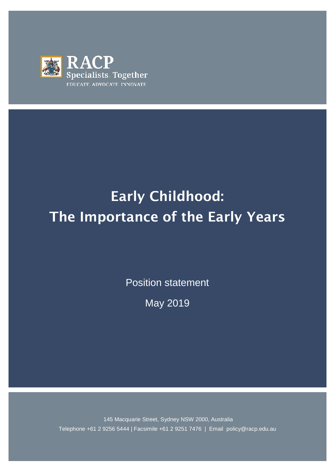

# Early Childhood: The Importance of the Early Years

Position statement

May 2019

145 Macquarie Street, Sydney NSW 2000, Australia Telephone +61 2 9256 5444 | Facsimile +61 2 9251 7476 | Email policy@racp.edu.au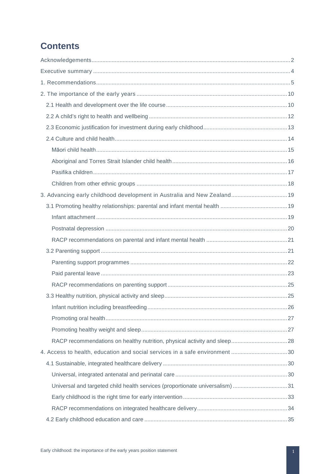## **Contents**

| 3. Advancing early childhood development in Australia and New Zealand 19     |  |
|------------------------------------------------------------------------------|--|
|                                                                              |  |
|                                                                              |  |
|                                                                              |  |
|                                                                              |  |
|                                                                              |  |
|                                                                              |  |
|                                                                              |  |
|                                                                              |  |
|                                                                              |  |
|                                                                              |  |
|                                                                              |  |
|                                                                              |  |
|                                                                              |  |
| 4. Access to health, education and social services in a safe environment 30  |  |
|                                                                              |  |
|                                                                              |  |
| Universal and targeted child health services (proportionate universalism) 31 |  |
|                                                                              |  |
|                                                                              |  |
|                                                                              |  |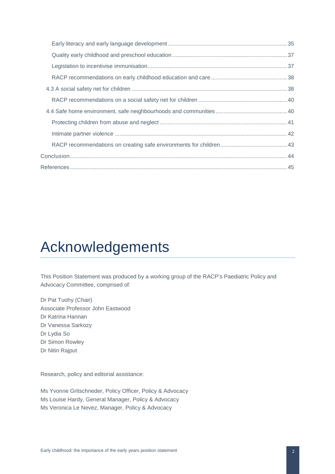## <span id="page-2-0"></span>Acknowledgements

This Position Statement was produced by a working group of the RACP's Paediatric Policy and Advocacy Committee, comprised of:

Dr Pat Tuohy (Chair) Associate Professor John Eastwood Dr Katrina Hannan Dr Vanessa Sarkozy Dr Lydia So Dr Simon Rowley Dr Nitin Rajput

Research, policy and editorial assistance:

Ms Yvonne Gritschneder, Policy Officer, Policy & Advocacy Ms Louise Hardy, General Manager, Policy & Advocacy Ms Veronica Le Nevez, Manager, Policy & Advocacy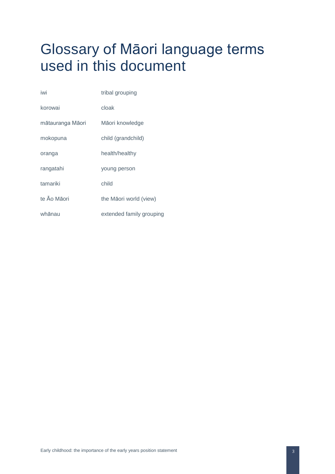## Glossary of Māori language terms used in this document

| iwi              | tribal grouping          |
|------------------|--------------------------|
| korowai          | cloak                    |
| mātauranga Māori | Māori knowledge          |
| mokopuna         | child (grandchild)       |
| oranga           | health/healthy           |
| rangatahi        | young person             |
| tamariki         | child                    |
| te Āo Māori      | the Māori world (view)   |
| whānau           | extended family grouping |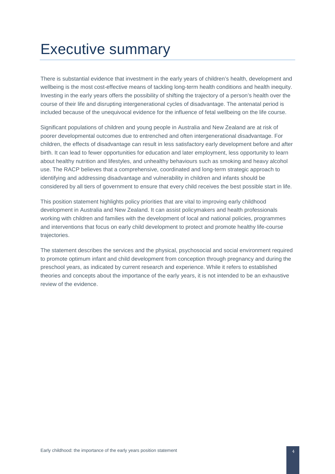## <span id="page-4-0"></span>Executive summary

There is substantial evidence that investment in the early years of children's health, development and wellbeing is the most cost-effective means of tackling long-term health conditions and health inequity. Investing in the early years offers the possibility of shifting the trajectory of a person's health over the course of their life and disrupting intergenerational cycles of disadvantage. The antenatal period is included because of the unequivocal evidence for the influence of fetal wellbeing on the life course.

Significant populations of children and young people in Australia and New Zealand are at risk of poorer developmental outcomes due to entrenched and often intergenerational disadvantage. For children, the effects of disadvantage can result in less satisfactory early development before and after birth. It can lead to fewer opportunities for education and later employment, less opportunity to learn about healthy nutrition and lifestyles, and unhealthy behaviours such as smoking and heavy alcohol use. The RACP believes that a comprehensive, coordinated and long-term strategic approach to identifying and addressing disadvantage and vulnerability in children and infants should be considered by all tiers of government to ensure that every child receives the best possible start in life.

This position statement highlights policy priorities that are vital to improving early childhood development in Australia and New Zealand. It can assist policymakers and health professionals working with children and families with the development of local and national policies, programmes and interventions that focus on early child development to protect and promote healthy life-course trajectories.

The statement describes the services and the physical, psychosocial and social environment required to promote optimum infant and child development from conception through pregnancy and during the preschool years, as indicated by current research and experience. While it refers to established theories and concepts about the importance of the early years, it is not intended to be an exhaustive review of the evidence.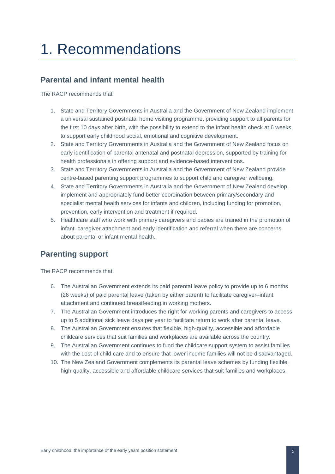## <span id="page-5-0"></span>1. Recommendations

## **Parental and infant mental health**

The RACP recommends that:

- 1. State and Territory Governments in Australia and the Government of New Zealand implement a universal sustained postnatal home visiting programme, providing support to all parents for the first 10 days after birth, with the possibility to extend to the infant health check at 6 weeks, to support early childhood social, emotional and cognitive development.
- 2. State and Territory Governments in Australia and the Government of New Zealand focus on early identification of parental antenatal and postnatal depression, supported by training for health professionals in offering support and evidence-based interventions.
- 3. State and Territory Governments in Australia and the Government of New Zealand provide centre-based parenting support programmes to support child and caregiver wellbeing.
- 4. State and Territory Governments in Australia and the Government of New Zealand develop, implement and appropriately fund better coordination between primary/secondary and specialist mental health services for infants and children, including funding for promotion, prevention, early intervention and treatment if required.
- 5. Healthcare staff who work with primary caregivers and babies are trained in the promotion of infant–caregiver attachment and early identification and referral when there are concerns about parental or infant mental health.

## **Parenting support**

- 6. The Australian Government extends its paid parental leave policy to provide up to 6 months (26 weeks) of paid parental leave (taken by either parent) to facilitate caregiver–infant attachment and continued breastfeeding in working mothers.
- 7. The Australian Government introduces the right for working parents and caregivers to access up to 5 additional sick leave days per year to facilitate return to work after parental leave.
- 8. The Australian Government ensures that flexible, high-quality, accessible and affordable childcare services that suit families and workplaces are available across the country.
- 9. The Australian Government continues to fund the childcare support system to assist families with the cost of child care and to ensure that lower income families will not be disadvantaged.
- 10. The New Zealand Government complements its parental leave schemes by funding flexible, high-quality, accessible and affordable childcare services that suit families and workplaces.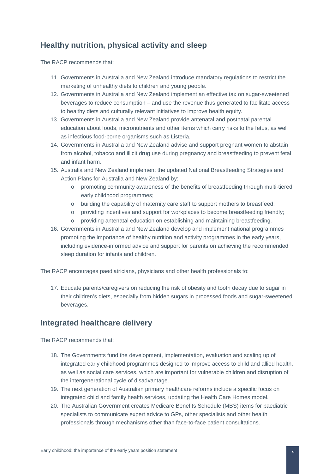## **Healthy nutrition, physical activity and sleep**

The RACP recommends that:

- 11. Governments in Australia and New Zealand introduce mandatory regulations to restrict the marketing of unhealthy diets to children and young people.
- 12. Governments in Australia and New Zealand implement an effective tax on sugar-sweetened beverages to reduce consumption – and use the revenue thus generated to facilitate access to healthy diets and culturally relevant initiatives to improve health equity.
- 13. Governments in Australia and New Zealand provide antenatal and postnatal parental education about foods, micronutrients and other items which carry risks to the fetus, as well as infectious food-borne organisms such as Listeria.
- 14. Governments in Australia and New Zealand advise and support pregnant women to abstain from alcohol, tobacco and illicit drug use during pregnancy and breastfeeding to prevent fetal and infant harm.
- 15. Australia and New Zealand implement the updated National Breastfeeding Strategies and Action Plans for Australia and New Zealand by:
	- o promoting community awareness of the benefits of breastfeeding through multi-tiered early childhood programmes;
	- o building the capability of maternity care staff to support mothers to breastfeed;
	- o providing incentives and support for workplaces to become breastfeeding friendly;
	- o providing antenatal education on establishing and maintaining breastfeeding.
- 16. Governments in Australia and New Zealand develop and implement national programmes promoting the importance of healthy nutrition and activity programmes in the early years, including evidence-informed advice and support for parents on achieving the recommended sleep duration for infants and children.

The RACP encourages paediatricians, physicians and other health professionals to:

17. Educate parents/caregivers on reducing the risk of obesity and tooth decay due to sugar in their children's diets, especially from hidden sugars in processed foods and sugar-sweetened beverages.

## **Integrated healthcare delivery**

- 18. The Governments fund the development, implementation, evaluation and scaling up of integrated early childhood programmes designed to improve access to child and allied health, as well as social care services, which are important for vulnerable children and disruption of the intergenerational cycle of disadvantage.
- 19. The next generation of Australian primary healthcare reforms include a specific focus on integrated child and family health services, updating the Health Care Homes model.
- 20. The Australian Government creates Medicare Benefits Schedule (MBS) items for paediatric specialists to communicate expert advice to GPs, other specialists and other health professionals through mechanisms other than face-to-face patient consultations.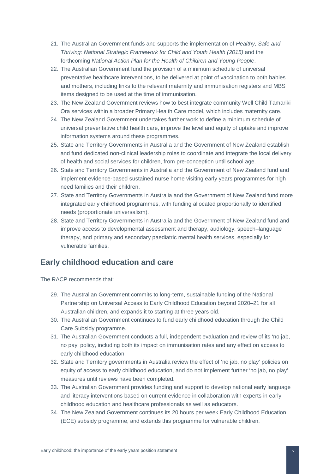- 21. The Australian Government funds and supports the implementation of *Healthy, Safe and Thriving: National Strategic Framework for Child and Youth Health (2015)* and the forthcoming *National Action Plan for the Health of Children and Young People*.
- 22. The Australian Government fund the provision of a minimum schedule of universal preventative healthcare interventions, to be delivered at point of vaccination to both babies and mothers, including links to the relevant maternity and immunisation registers and MBS items designed to be used at the time of immunisation.
- 23. The New Zealand Government reviews how to best integrate community Well Child Tamariki Ora services within a broader Primary Health Care model, which includes maternity care.
- 24. The New Zealand Government undertakes further work to define a minimum schedule of universal preventative child health care, improve the level and equity of uptake and improve information systems around these programmes.
- 25. State and Territory Governments in Australia and the Government of New Zealand establish and fund dedicated non-clinical leadership roles to coordinate and integrate the local delivery of health and social services for children, from pre-conception until school age.
- 26. State and Territory Governments in Australia and the Government of New Zealand fund and implement evidence-based sustained nurse home visiting early years programmes for high need families and their children.
- 27. State and Territory Governments in Australia and the Government of New Zealand fund more integrated early childhood programmes, with funding allocated proportionally to identified needs (proportionate universalism).
- 28. State and Territory Governments in Australia and the Government of New Zealand fund and improve access to developmental assessment and therapy, audiology, speech–language therapy, and primary and secondary paediatric mental health services, especially for vulnerable families.

## **Early childhood education and care**

- 29. The Australian Government commits to long-term, sustainable funding of the National Partnership on Universal Access to Early Childhood Education beyond 2020–21 for all Australian children, and expands it to starting at three years old.
- 30. The Australian Government continues to fund early childhood education through the Child Care Subsidy programme.
- 31. The Australian Government conducts a full, independent evaluation and review of its 'no jab, no pay' policy, including both its impact on immunisation rates and any effect on access to early childhood education.
- 32. State and Territory governments in Australia review the effect of 'no jab, no play' policies on equity of access to early childhood education, and do not implement further 'no jab, no play' measures until reviews have been completed.
- 33. The Australian Government provides funding and support to develop national early language and literacy interventions based on current evidence in collaboration with experts in early childhood education and healthcare professionals as well as educators.
- 34. The New Zealand Government continues its 20 hours per week Early Childhood Education (ECE) subsidy programme, and extends this programme for vulnerable children.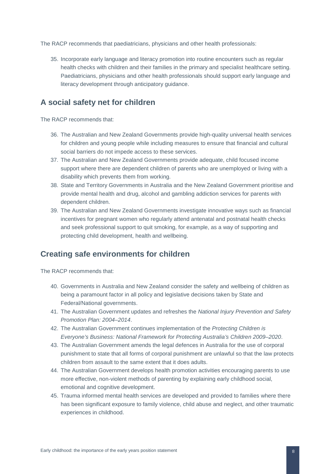The RACP recommends that paediatricians, physicians and other health professionals:

35. Incorporate early language and literacy promotion into routine encounters such as regular health checks with children and their families in the primary and specialist healthcare setting. Paediatricians, physicians and other health professionals should support early language and literacy development through anticipatory guidance.

### **A social safety net for children**

The RACP recommends that:

- 36. The Australian and New Zealand Governments provide high-quality universal health services for children and young people while including measures to ensure that financial and cultural social barriers do not impede access to these services.
- 37. The Australian and New Zealand Governments provide adequate, child focused income support where there are dependent children of parents who are unemployed or living with a disability which prevents them from working.
- 38. State and Territory Governments in Australia and the New Zealand Government prioritise and provide mental health and drug, alcohol and gambling addiction services for parents with dependent children.
- 39. The Australian and New Zealand Governments investigate innovative ways such as financial incentives for pregnant women who regularly attend antenatal and postnatal health checks and seek professional support to quit smoking, for example, as a way of supporting and protecting child development, health and wellbeing.

## **Creating safe environments for children**

- 40. Governments in Australia and New Zealand consider the safety and wellbeing of children as being a paramount factor in all policy and legislative decisions taken by State and Federal/National governments.
- 41. The Australian Government updates and refreshes the *National Injury Prevention and Safety Promotion Plan: 2004–2014*.
- 42. The Australian Government continues implementation of the *Protecting Children is Everyone's Business: National Framework for Protecting Australia's Children 2009–2020*.
- 43. The Australian Government amends the legal defences in Australia for the use of corporal punishment to state that all forms of corporal punishment are unlawful so that the law protects children from assault to the same extent that it does adults.
- 44. The Australian Government develops health promotion activities encouraging parents to use more effective, non-violent methods of parenting by explaining early childhood social, emotional and cognitive development.
- 45. Trauma informed mental health services are developed and provided to families where there has been significant exposure to family violence, child abuse and neglect, and other traumatic experiences in childhood.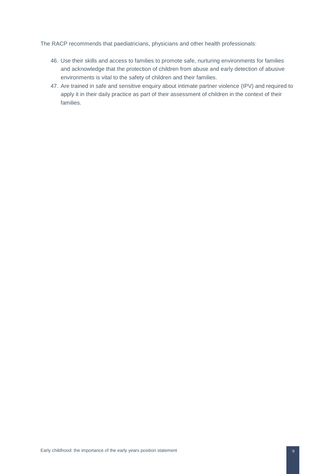The RACP recommends that paediatricians, physicians and other health professionals:

- 46. Use their skills and access to families to promote safe, nurturing environments for families and acknowledge that the protection of children from abuse and early detection of abusive environments is vital to the safety of children and their families.
- 47. Are trained in safe and sensitive enquiry about intimate partner violence (IPV) and required to apply it in their daily practice as part of their assessment of children in the context of their families.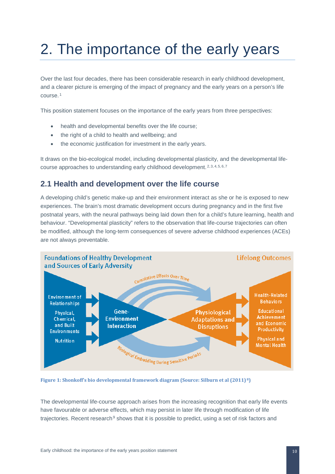# <span id="page-10-0"></span>2. The importance of the early years

Over the last four decades, there has been considerable research in early childhood development, and a clearer picture is emerging of the impact of pregnancy and the early years on a person's life course. [1](#page-45-1)

This position statement focuses on the importance of the early years from three perspectives:

- health and developmental benefits over the life course;
- the right of a child to health and wellbeing; and
- the economic justification for investment in the early years.

It draws on the bio-ecological model, including developmental plasticity, and the developmental life-course approaches to understanding early childhood development. [2,](#page-45-2) [3](#page-45-3), [4,](#page-45-4) [5](#page-45-5), [6,](#page-45-6) [7](#page-45-7)

### <span id="page-10-1"></span>**2.1 Health and development over the life course**

A developing child's genetic make-up and their environment interact as she or he is exposed to new experiences. The brain's most dramatic development occurs during pregnancy and in the first five postnatal years, with the neural pathways being laid down then for a child's future learning, health and behaviour. "Developmental plasticity" refers to the observation that life-course trajectories can often be modified, although the long-term consequences of severe adverse childhood experiences (ACEs) are not always preventable.



**Figure 1: Shonkoff's bio developmental framework diagram (Source: Silburn et al (2011) [8](#page-45-8))**

The developmental life-course approach arises from the increasing recognition that early life events have favourable or adverse effects, which may persist in later life through modification of life trajectories. Recent research<sup>[9](#page-45-9)</sup> shows that it is possible to predict, using a set of risk factors and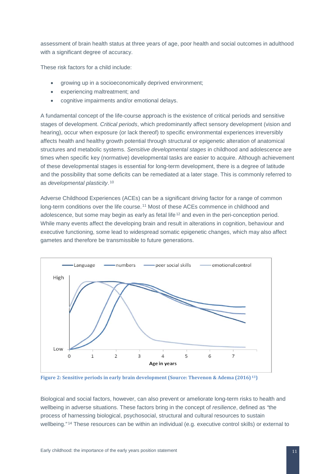assessment of brain health status at three years of age, poor health and social outcomes in adulthood with a significant degree of accuracy.

These risk factors for a child include:

- growing up in a socioeconomically deprived environment;
- experiencing maltreatment; and
- cognitive impairments and/or emotional delays.

A fundamental concept of the life-course approach is the existence of critical periods and sensitive stages of development. *Critical periods*, which predominantly affect sensory development (vision and hearing), occur when exposure (or lack thereof) to specific environmental experiences irreversibly affects health and healthy growth potential through structural or epigenetic alteration of anatomical structures and metabolic systems. *Sensitive developmental stages* in childhood and adolescence are times when specific key (normative) developmental tasks are easier to acquire. Although achievement of these developmental stages is essential for long-term development, there is a degree of latitude and the possibility that some deficits can be remediated at a later stage. This is commonly referred to as *developmental plasticity*. [10](#page-46-0)

Adverse Childhood Experiences (ACEs) can be a significant driving factor for a range of common long-term conditions over the life course. [11](#page-46-1) Most of these ACEs commence in childhood and adolescence, but some may begin as early as fetal life<sup>[12](#page-46-2)</sup> and even in the peri-conception period. While many events affect the developing brain and result in alterations in cognition, behaviour and executive functioning, some lead to widespread somatic epigenetic changes, which may also affect gametes and therefore be transmissible to future generations.



**Figure 2: Sensitive periods in early brain development (Source: Thevenon & Adema (2016) [13\)](#page-46-3)**

Biological and social factors, however, can also prevent or ameliorate long-term risks to health and wellbeing in adverse situations. These factors bring in the concept of *resilience*, defined as *"*the process of harnessing biological, psychosocial, structural and cultural resources to sustain wellbeing."<sup>[14](#page-46-4)</sup> These resources can be within an individual (e.g. executive control skills) or external to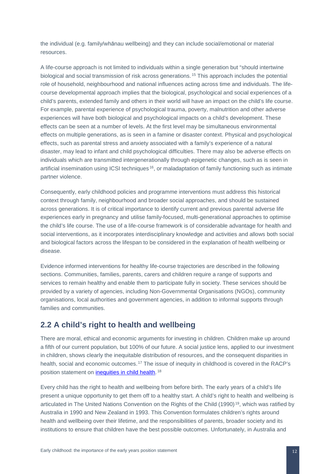the individual (e.g. family/whānau wellbeing) and they can include social/emotional or material resources.

A life-course approach is not limited to individuals within a single generation but "should intertwine biological and social transmission of risk across generations. [15](#page-47-0) This approach includes the potential role of household, neighbourhood and national influences acting across time and individuals. The lifecourse developmental approach implies that the biological, psychological and social experiences of a child's parents, extended family and others in their world will have an impact on the child's life course. For example, parental experience of psychological trauma, poverty, malnutrition and other adverse experiences will have both biological and psychological impacts on a child's development. These effects can be seen at a number of levels. At the first level may be simultaneous environmental effects on multiple generations, as is seen in a famine or disaster context. Physical and psychological effects, such as parental stress and anxiety associated with a family's experience of a natural disaster, may lead to infant and child psychological difficulties. There may also be adverse effects on individuals which are transmitted intergenerationally through epigenetic changes, such as is seen in artificial insemination using ICSI techniques [16](#page-47-1), or maladaptation of family functioning such as intimate partner violence.

Consequently, early childhood policies and programme interventions must address this historical context through family, neighbourhood and broader social approaches, and should be sustained across generations. It is of critical importance to identify current and previous parental adverse life experiences early in pregnancy and utilise family-focused, multi-generational approaches to optimise the child's life course. The use of a life-course framework is of considerable advantage for health and social interventions, as it incorporates interdisciplinary knowledge and activities and allows both social and biological factors across the lifespan to be considered in the explanation of health wellbeing or disease.

Evidence informed interventions for healthy life-course trajectories are described in the following sections. Communities, families, parents, carers and children require a range of supports and services to remain healthy and enable them to participate fully in society. These services should be provided by a variety of agencies, including Non-Governmental Organisations (NGOs), community organisations, local authorities and government agencies, in addition to informal supports through families and communities.

### <span id="page-12-0"></span>**2.2 A child's right to health and wellbeing**

There are moral, ethical and economic arguments for investing in children. Children make up around a fifth of our current population, but 100% of our future. A social justice lens, applied to our investment in children, shows clearly the inequitable distribution of resources, and the consequent disparities in health, social and economic outcomes.<sup>[17](#page-47-2)</sup> The issue of inequity in childhood is covered in the RACP's position statement on [inequities in child health.](https://www.racp.edu.au/docs/default-source/advocacy-library/racp-inequities-in-child-health-position-statement.pdf?sfvrsn=6ceb0b1a_6) [18](#page-47-3)

Every child has the right to health and wellbeing from before birth. The early years of a child's life present a unique opportunity to get them off to a healthy start. A child's right to health and wellbeing is articulated in The United Nations Convention on the Rights of the Child ([19](#page-47-4)90)<sup>19</sup>, which was ratified by Australia in 1990 and New Zealand in 1993. This Convention formulates children's rights around health and wellbeing over their lifetime, and the responsibilities of parents, broader society and its institutions to ensure that children have the best possible outcomes. Unfortunately, in Australia and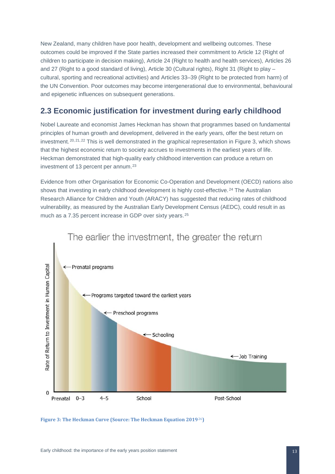New Zealand, many children have poor health, development and wellbeing outcomes. These outcomes could be improved if the State parties increased their commitment to Article 12 (Right of children to participate in decision making), Article 24 (Right to health and health services), Articles 26 and 27 (Right to a good standard of living), Article 30 (Cultural rights), Right 31 (Right to play – cultural, sporting and recreational activities) and Articles 33–39 (Right to be protected from harm) of the UN Convention. Poor outcomes may become intergenerational due to environmental, behavioural and epigenetic influences on subsequent generations.

## <span id="page-13-0"></span>**2.3 Economic justification for investment during early childhood**

Nobel Laureate and economist James Heckman has shown that programmes based on fundamental principles of human growth and development, delivered in the early years, offer the best return on investment. <sup>[20](#page-48-0), [21](#page-48-1), [22](#page-48-2)</sup> This is well demonstrated in the graphical representation in Figure 3, which shows that the highest economic return to society accrues to investments in the earliest years of life. Heckman demonstrated that high-quality early childhood intervention can produce a return on investment of 13 percent per annum.<sup>23</sup>

Evidence from other Organisation for Economic Co-Operation and Development (OECD) nations also shows that investing in early childhood development is highly cost-effective.<sup>[24](#page-48-4)</sup> The Australian Research Alliance for Children and Youth (ARACY) has suggested that reducing rates of childhood vulnerability, as measured by the Australian Early Development Census (AEDC), could result in as much as a 7.35 percent increase in GDP over sixty years. [25](#page-48-5)



**Figure 3: The Heckman Curve (Source: The Heckman Equation 2019**[26](#page-48-6)**)**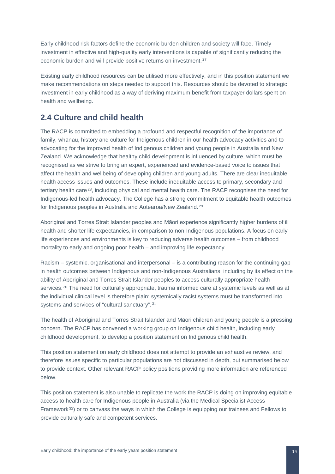Early childhood risk factors define the economic burden children and society will face. Timely investment in effective and high-quality early interventions is capable of significantly reducing the economic burden and will provide positive returns on investment. [27](#page-49-0)

Existing early childhood resources can be utilised more effectively, and in this position statement we make recommendations on steps needed to support this. Resources should be devoted to strategic investment in early childhood as a way of deriving maximum benefit from taxpayer dollars spent on health and wellbeing.

## <span id="page-14-0"></span>**2.4 Culture and child health**

The RACP is committed to embedding a profound and respectful recognition of the importance of family, whānau, history and culture for Indigenous children in our health advocacy activities and to advocating for the improved health of Indigenous children and young people in Australia and New Zealand. We acknowledge that healthy child development is influenced by culture, which must be recognised as we strive to bring an expert, experienced and evidence-based voice to issues that affect the health and wellbeing of developing children and young adults. There are clear inequitable health access issues and outcomes. These include inequitable access to primary, secondary and tertiary health care<sup>[28](#page-49-1)</sup>, including physical and mental health care. The RACP recognises the need for Indigenous-led health advocacy. The College has a strong commitment to equitable health outcomes for Indigenous peoples in Australia and Aotearoa/New Zealand. [29](#page-49-2)

Aboriginal and Torres Strait Islander peoples and Māori experience significantly higher burdens of ill health and shorter life expectancies, in comparison to non-Indigenous populations. A focus on early life experiences and environments is key to reducing adverse health outcomes – from childhood mortality to early and ongoing poor health – and improving life expectancy.

Racism – systemic, organisational and interpersonal – is a contributing reason for the continuing gap in health outcomes between Indigenous and non-Indigenous Australians, including by its effect on the ability of Aboriginal and Torres Strait Islander peoples to access culturally appropriate health services.<sup>[30](#page-49-3)</sup> The need for culturally appropriate, trauma informed care at systemic levels as well as at the individual clinical level is therefore plain: systemically racist systems must be transformed into systems and services of "cultural sanctuary". [31](#page-49-4)

The health of Aboriginal and Torres Strait Islander and Māori children and young people is a pressing concern. The RACP has convened a working group on Indigenous child health, including early childhood development, to develop a position statement on Indigenous child health.

This position statement on early childhood does not attempt to provide an exhaustive review, and therefore issues specific to particular populations are not discussed in depth, but summarised below to provide context. Other relevant RACP policy positions providing more information are referenced below.

This position statement is also unable to replicate the work the RACP is doing on improving equitable access to health care for Indigenous people in Australia (via the Medical Specialist Access Framework [32](#page-49-5)) or to canvass the ways in which the College is equipping our trainees and Fellows to provide culturally safe and competent services.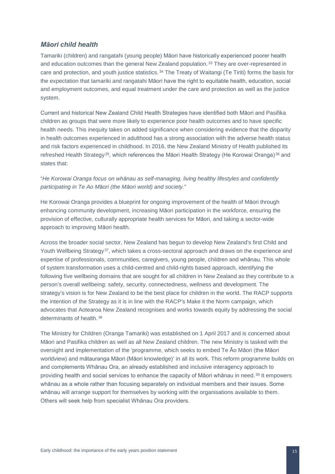#### <span id="page-15-0"></span>*Māori child health*

Tamariki (children) and rangatahi (young people) Māori have historically experienced poorer health and education outcomes than the general New Zealand population.<sup>[33](#page-50-0)</sup> They are over-represented in care and protection, and youth justice statistics. [34](#page-50-1) The Treaty of Waitangi (Te Tiriti) forms the basis for the expectation that tamariki and rangatahi Māori have the right to equitable health, education, social and employment outcomes, and equal treatment under the care and protection as well as the justice system.

Current and historical New Zealand Child Health Strategies have identified both Māori and Pasifika children as groups that were more likely to experience poor health outcomes and to have specific health needs. This inequity takes on added significance when considering evidence that the disparity in health outcomes experienced in adulthood has a strong association with the adverse health status and risk factors experienced in childhood. In 2016, the New Zealand Ministry of Health published its refreshed Health Strategy<sup>[35](#page-50-2)</sup>, which references the Māori Health Strategy (He Korowai Oranga)<sup>[36](#page-50-3)</sup> and states that:

"*He Korowai Oranga focus on whānau as self-managing, living healthy lifestyles and confidently participating in Te Ao M*ā*ori (the Māori world) and society.*"

He Korowai Oranga provides a blueprint for ongoing improvement of the health of Māori through enhancing community development, increasing Māori participation in the workforce, ensuring the provision of effective, culturally appropriate health services for Māori, and taking a sector-wide approach to improving Māori health.

Across the broader social sector, New Zealand has begun to develop New Zealand's first Child and Youth Wellbeing Strategy<sup>[37](#page-50-4)</sup>, which takes a cross-sectoral approach and draws on the experience and expertise of professionals, communities, caregivers, young people, children and whānau. This whole of system transformation uses a child-centred and child-rights based approach, identifying the following five wellbeing domains that are sought for all children in New Zealand as they contribute to a person's overall wellbeing: safety, security, connectedness, wellness and development. The strategy's vision is for New Zealand to be the best place for children in the world. The RACP supports the intention of the Strategy as it is in line with the RACP's Make it the Norm campaign, which advocates that Aotearoa New Zealand recognises and works towards equity by addressing the social determinants of health 38

The Ministry for Children (Oranga Tamariki) was established on 1 April 2017 and is concerned about Māori and Pasifika children as well as all New Zealand children. The new Ministry is tasked with the oversight and implementation of the 'programme, which seeks to embed Te Āo Māori (the Māori worldview) and mātauranga Māori (Māori knowledge)' in all its work. This reform programme builds on and complements Whānau Ora, an already established and inclusive interagency approach to providing health and social services to enhance the capacity of Māori whānau in need. [39](#page-50-6) It empowers whānau as a whole rather than focusing separately on individual members and their issues. Some whānau will arrange support for themselves by working with the organisations available to them. Others will seek help from specialist Whānau Ora providers.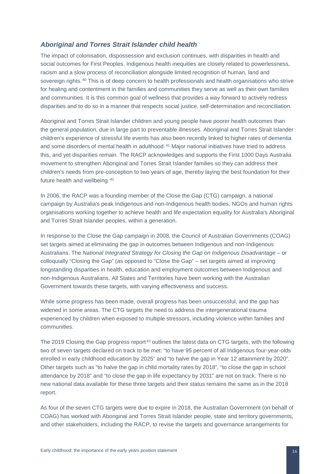#### <span id="page-16-0"></span>*Aboriginal and Torres Strait Islander child health*

The impact of colonisation, dispossession and exclusion continues, with disparities in health and social outcomes for First Peoples. Indigenous health inequities are closely related to powerlessness, racism and a slow process of reconciliation alongside limited recognition of human, land and sovereign rights. <sup>[40](#page-51-0)</sup> This is of deep concern to health professionals and health organisations who strive for healing and contentment in the families and communities they serve as well as their own families and communities. It is this common goal of wellness that provides a way forward to actively redress disparities and to do so in a manner that respects social justice, self-determination and reconciliation.

Aboriginal and Torres Strait Islander children and young people have poorer health outcomes than the general population, due in large part to preventable illnesses. Aboriginal and Torres Strait Islander children's experience of stressful life events has also been recently linked to higher rates of dementia and some disorders of mental health in adulthood. [41](#page-51-1) Major national initiatives have tried to address this, and yet disparities remain. The RACP acknowledges and supports the First 1000 Days Australia movement to strengthen Aboriginal and Torres Strait Islander families so they can address their children's needs from pre‐conception to two years of age, thereby laying the best foundation for their future health and wellbeing. [42](#page-51-2)

In 2006, the RACP was a founding member of the Close the Gap (CTG) campaign, a national campaign by Australia's peak Indigenous and non-Indigenous health bodies, NGOs and human rights organisations working together to achieve health and life expectation equality for Australia's Aboriginal and Torres Strait Islander peoples, within a generation.

In response to the Close the Gap campaign in 2008, the Council of Australian Governments (COAG) set targets aimed at eliminating the gap in outcomes between Indigenous and non-Indigenous Australians. The *National Integrated Strategy for Closing the Gap on Indigenous Disadvantage* – or colloquially "Closing the Gap" (as opposed to "Close the Gap" – set targets aimed at improving longstanding disparities in health, education and employment outcomes between Indigenous and non-Indigenous Australians. All States and Territories have been working with the Australian Government towards these targets, with varying effectiveness and success.

While some progress has been made, overall progress has been unsuccessful, and the gap has widened in some areas. The CTG targets the need to address the intergenerational trauma experienced by children when exposed to multiple stressors, including violence within families and communities.

The 2019 Closing the Gap progress report<sup>[43](#page-51-3)</sup> outlines the latest data on CTG targets, with the following two of seven targets declared on track to be met: "to have 95 percent of all Indigenous four-year-olds enrolled in early childhood education by 2025" and "to halve the gap in Year 12 attainment by 2020". Other targets such as "to halve the gap in child mortality rates by 2018", "to close the gap in school attendance by 2018" and "to close the gap in life expectancy by 2031" are not on track. There is no new national data available for these three targets and their status remains the same as in the 2018 report.

As four of the seven CTG targets were due to expire in 2018, the Australian Government (on behalf of COAG) has worked with Aboriginal and Torres Strait Islander people, state and territory governments, and other stakeholders, including the RACP, to revise the targets and governance arrangements for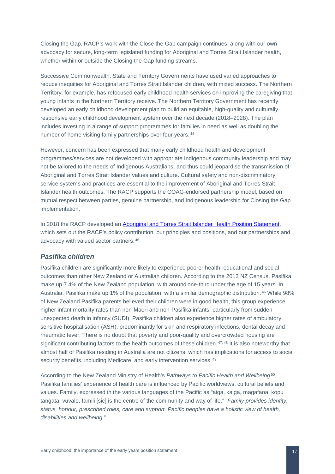Closing the Gap. RACP's work with the Close the Gap campaign continues, along with our own advocacy for secure, long-term legislated funding for Aboriginal and Torres Strait Islander health, whether within or outside the Closing the Gap funding streams.

Successive Commonwealth, State and Territory Governments have used varied approaches to reduce inequities for Aboriginal and Torres Strait Islander children, with mixed success. The Northern Territory, for example, has refocused early childhood health services on improving the caregiving that young infants in the Northern Territory receive. The Northern Territory Government has recently developed an early childhood development plan to build an equitable, high-quality and culturally responsive early childhood development system over the next decade (2018–2028). The plan includes investing in a range of support programmes for families in need as well as doubling the number of home visiting family partnerships over four years. [44](#page-52-0)

However, concern has been expressed that many early childhood health and development programmes/services are not developed with appropriate Indigenous community leadership and may not be tailored to the needs of Indigenous Australians, and thus could jeopardise the transmission of Aboriginal and Torres Strait Islander values and culture. Cultural safety and non-discriminatory service systems and practices are essential to the improvement of Aboriginal and Torres Strait Islander health outcomes. The RACP supports the COAG-endorsed partnership model, based on mutual respect between parties, genuine partnership, and Indigenous leadership for Closing the Gap implementation.

In 2018 the RACP developed an [Aboriginal and Torres Strait Islander Health Position Statement,](https://www.racp.edu.au/docs/default-source/advocacy-library/racp-2018-aboriginal-and-torres-strait-islander-health-position-statement.pdf?sfvrsn=cd5c151a_4) which sets out the RACP's policy contribution, our principles and positions, and our partnerships and advocacy with valued sector partners. [45](#page-52-1)

#### <span id="page-17-0"></span>*Pasifika children*

Pasifika children are significantly more likely to experience poorer health, educational and social outcomes than other New Zealand or Australian children. According to the 2013 NZ Census, Pasifika make up 7.4% of the New Zealand population, with around one-third under the age of 15 years. In Australia, Pasifika make up 1% of the population, with a similar demographic distribution. [46](#page-52-2) While 98% of New Zealand Pasifika parents believed their children were in good health, this group experience higher infant mortality rates than non-Māori and non-Pasifika infants, particularly from sudden unexpected death in infancy (SUDI). Pasifika children also experience higher rates of ambulatory sensitive hospitalisation (ASH), predominantly for skin and respiratory infections, dental decay and rheumatic fever. There is no doubt that poverty and poor-quality and overcrowded housing are significant contributing factors to the health outcomes of these children. <sup>[47,](#page-52-3) [48](#page-52-4)</sup> It is also noteworthy that almost half of Pasifika residing in Australia are not citizens, which has implications for access to social security benefits, including Medicare, and early intervention services.<sup>[49](#page-52-5)</sup>

According to the New Zealand Ministry of Health's *Pathways to Pacific Health and Wellbeing*[50,](#page-52-6) Pasifika families' experience of health care is influenced by Pacific worldviews, cultural beliefs and values. Family, expressed in the various languages of the Pacific as "aiga, kaiga, magafaoa, kopu tangata, vuvale, famili [sic] is the centre of the community and way of life." "*Family provides identity, status, honour, prescribed roles, care and support. Pacific peoples have a holistic view of health, disabilities and wellbeing*."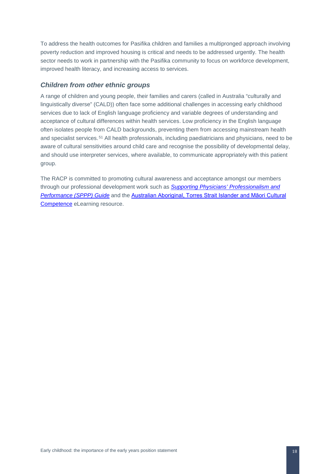To address the health outcomes for Pasifika children and families a multipronged approach involving poverty reduction and improved housing is critical and needs to be addressed urgently. The health sector needs to work in partnership with the Pasifika community to focus on workforce development, improved health literacy, and increasing access to services.

#### <span id="page-18-0"></span>*Children from other ethnic groups*

A range of children and young people, their families and carers (called in Australia "culturally and linguistically diverse" (CALD)) often face some additional challenges in accessing early childhood services due to lack of English language proficiency and variable degrees of understanding and acceptance of cultural differences within health services. Low proficiency in the English language often isolates people from CALD backgrounds, preventing them from accessing mainstream health and specialist services.<sup>[51](#page-53-0)</sup> All health professionals, including paediatricians and physicians, need to be aware of cultural sensitivities around child care and recognise the possibility of developmental delay, and should use interpreter services, where available, to communicate appropriately with this patient group.

The RACP is committed to promoting cultural awareness and acceptance amongst our members through our professional development work such as *[Supporting Physicians'](http://sppp-guide.racp.edu.au/#sppp) Professionalism and [Performance \(SPPP\) Guide](http://sppp-guide.racp.edu.au/#sppp)* and the [Australian Aboriginal, Torres Strait Islander and Māori Cultural](https://elearning.racp.edu.au/)  [Competence](https://elearning.racp.edu.au/) eLearning resource.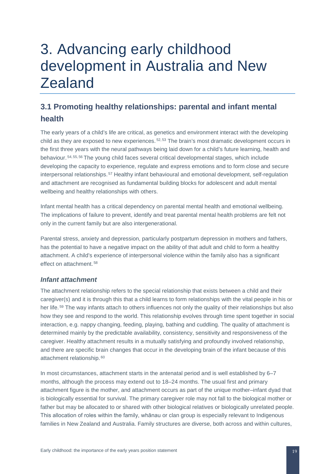## <span id="page-19-0"></span>3. Advancing early childhood development in Australia and New Zealand

## <span id="page-19-1"></span>**3.1 Promoting healthy relationships: parental and infant mental health**

The early years of a child's life are critical, as genetics and environment interact with the developing child as they are exposed to new experiences.  $52,53$  $52,53$  $52,53$  The brain's most dramatic development occurs in the first three years with the neural pathways being laid down for a child's future learning, health and behaviour. [54,](#page-53-3) [55,](#page-53-4) [56](#page-53-5) The young child faces several critical developmental stages, which include developing the capacity to experience, regulate and express emotions and to form close and secure interpersonal relationships. [57](#page-53-6) Healthy infant behavioural and emotional development, self-regulation and attachment are recognised as fundamental building blocks for adolescent and adult mental wellbeing and healthy relationships with others.

Infant mental health has a critical dependency on parental mental health and emotional wellbeing. The implications of failure to prevent, identify and treat parental mental health problems are felt not only in the current family but are also intergenerational.

Parental stress, anxiety and depression, particularly postpartum depression in mothers and fathers, has the potential to have a negative impact on the ability of that adult and child to form a healthy attachment. A child's experience of interpersonal violence within the family also has a significant effect on attachment.<sup>[58](#page-53-7)</sup>

#### <span id="page-19-2"></span>*Infant attachment*

The attachment relationship refers to the special relationship that exists between a child and their caregiver(s) and it is through this that a child learns to form relationships with the vital people in his or her life. [59](#page-53-8) The way infants attach to others influences not only the quality of their relationships but also how they see and respond to the world. This relationship evolves through time spent together in social interaction, e.g. nappy changing, feeding, playing, bathing and cuddling. The quality of attachment is determined mainly by the predictable availability, consistency, sensitivity and responsiveness of the caregiver. Healthy attachment results in a mutually satisfying and profoundly involved relationship, and there are specific brain changes that occur in the developing brain of the infant because of this attachment relationship. [60](#page-53-9)

In most circumstances, attachment starts in the antenatal period and is well established by 6–7 months, although the process may extend out to 18–24 months. The usual first and primary attachment figure is the mother, and attachment occurs as part of the unique mother–infant dyad that is biologically essential for survival. The primary caregiver role may not fall to the biological mother or father but may be allocated to or shared with other biological relatives or biologically unrelated people. This allocation of roles within the family, whānau or clan group is especially relevant to Indigenous families in New Zealand and Australia. Family structures are diverse, both across and within cultures,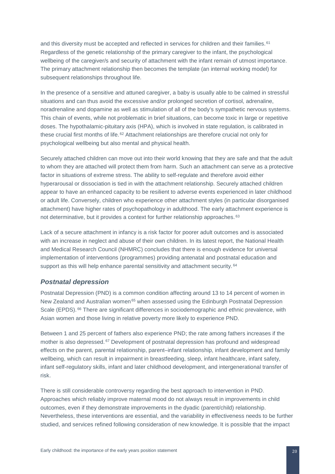and this diversity must be accepted and reflected in services for children and their families. [61](#page-53-10) Regardless of the genetic relationship of the primary caregiver to the infant, the psychological wellbeing of the caregiver/s and security of attachment with the infant remain of utmost importance. The primary attachment relationship then becomes the template (an internal working model) for subsequent relationships throughout life.

In the presence of a sensitive and attuned caregiver, a baby is usually able to be calmed in stressful situations and can thus avoid the excessive and/or prolonged secretion of cortisol, adrenaline, noradrenaline and dopamine as well as stimulation of all of the body's sympathetic nervous systems. This chain of events, while not problematic in brief situations, can become toxic in large or repetitive doses. The hypothalamic-pituitary axis (HPA), which is involved in state regulation, is calibrated in these crucial first months of life. [62](#page-53-11) Attachment relationships are therefore crucial not only for psychological wellbeing but also mental and physical health.

Securely attached children can move out into their world knowing that they are safe and that the adult to whom they are attached will protect them from harm. Such an attachment can serve as a protective factor in situations of extreme stress. The ability to self-regulate and therefore avoid either hyperarousal or dissociation is tied in with the attachment relationship. Securely attached children appear to have an enhanced capacity to be resilient to adverse events experienced in later childhood or adult life. Conversely, children who experience other attachment styles (in particular disorganised attachment) have higher rates of psychopathology in adulthood. The early attachment experience is not determinative, but it provides a context for further relationship approaches. [63](#page-53-12)

Lack of a secure attachment in infancy is a risk factor for poorer adult outcomes and is associated with an increase in neglect and abuse of their own children. In its latest report, the National Health and Medical Research Council (NHMRC) concludes that there is enough evidence for universal implementation of interventions (programmes) providing antenatal and postnatal education and support as this will help enhance parental sensitivity and attachment security. <sup>[64](#page-53-13)</sup>

#### <span id="page-20-0"></span>*Postnatal depression*

Postnatal Depression (PND) is a common condition affecting around 13 to 14 percent of women in New Zealand and Australian women<sup>[65](#page-53-14)</sup> when assessed using the Edinburgh Postnatal Depression Scale (EPDS). <sup>[66](#page-53-15)</sup> There are significant differences in sociodemographic and ethnic prevalence, with Asian women and those living in relative poverty more likely to experience PND.

Between 1 and 25 percent of fathers also experience PND; the rate among fathers increases if the mother is also depressed. [67](#page-53-16) Development of postnatal depression has profound and widespread effects on the parent, parental relationship, parent–infant relationship, infant development and family wellbeing, which can result in impairment in breastfeeding, sleep, infant healthcare, infant safety, infant self-regulatory skills, infant and later childhood development, and intergenerational transfer of risk.

There is still considerable controversy regarding the best approach to intervention in PND. Approaches which reliably improve maternal mood do not always result in improvements in child outcomes, even if they demonstrate improvements in the dyadic (parent/child) relationship. Nevertheless, these interventions are essential, and the variability in effectiveness needs to be further studied, and services refined following consideration of new knowledge. It is possible that the impact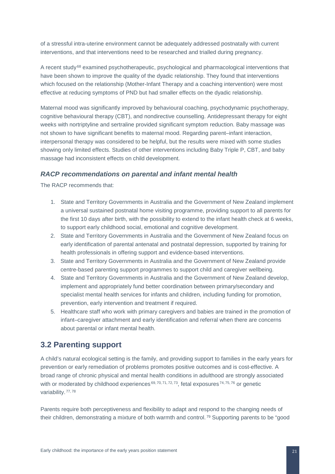of a stressful intra-uterine environment cannot be adequately addressed postnatally with current interventions, and that interventions need to be researched and trialled during pregnancy.

A recent study<sup>[68](#page-53-17)</sup> examined psychotherapeutic, psychological and pharmacological interventions that have been shown to improve the quality of the dyadic relationship. They found that interventions which focused on the relationship (Mother-Infant Therapy and a coaching intervention) were most effective at reducing symptoms of PND but had smaller effects on the dyadic relationship.

Maternal mood was significantly improved by behavioural coaching, psychodynamic psychotherapy, cognitive behavioural therapy (CBT), and nondirective counselling. Antidepressant therapy for eight weeks with nortriptyline and sertraline provided significant symptom reduction. Baby massage was not shown to have significant benefits to maternal mood. Regarding parent–infant interaction, interpersonal therapy was considered to be helpful, but the results were mixed with some studies showing only limited effects. Studies of other interventions including Baby Triple P, CBT, and baby massage had inconsistent effects on child development.

#### <span id="page-21-0"></span>*RACP recommendations on parental and infant mental health*

The RACP recommends that:

- 1. State and Territory Governments in Australia and the Government of New Zealand implement a universal sustained postnatal home visiting programme, providing support to all parents for the first 10 days after birth, with the possibility to extend to the infant health check at 6 weeks, to support early childhood social, emotional and cognitive development.
- 2. State and Territory Governments in Australia and the Government of New Zealand focus on early identification of parental antenatal and postnatal depression, supported by training for health professionals in offering support and evidence-based interventions.
- 3. State and Territory Governments in Australia and the Government of New Zealand provide centre-based parenting support programmes to support child and caregiver wellbeing.
- 4. State and Territory Governments in Australia and the Government of New Zealand develop, implement and appropriately fund better coordination between primary/secondary and specialist mental health services for infants and children, including funding for promotion, prevention, early intervention and treatment if required.
- 5. Healthcare staff who work with primary caregivers and babies are trained in the promotion of infant–caregiver attachment and early identification and referral when there are concerns about parental or infant mental health.

### <span id="page-21-1"></span>**3.2 Parenting support**

A child's natural ecological setting is the family, and providing support to families in the early years for prevention or early remediation of problems promotes positive outcomes and is cost-effective. A broad range of chronic physical and mental health conditions in adulthood are strongly associated with or moderated by childhood experiences  $69, 70, 71, 72, 73$  $69, 70, 71, 72, 73$  $69, 70, 71, 72, 73$  $69, 70, 71, 72, 73$  $69, 70, 71, 72, 73$  $69, 70, 71, 72, 73$  $69, 70, 71, 72, 73$  $69, 70, 71, 72, 73$ , fetal exposures  $74, 75, 76$  $74, 75, 76$  $74, 75, 76$  $74, 75, 76$  $74, 75, 76$  or genetic variability. [77,](#page-53-26) [78](#page-53-27)

Parents require both perceptiveness and flexibility to adapt and respond to the changing needs of their children, demonstrating a mixture of both warmth and control. [79](#page-53-28) Supporting parents to be "good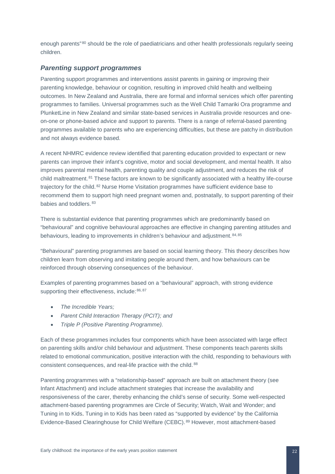enough parents"<sup>[80](#page-53-29)</sup> should be the role of paediatricians and other health professionals regularly seeing children.

#### <span id="page-22-0"></span>*Parenting support programmes*

Parenting support programmes and interventions assist parents in gaining or improving their parenting knowledge, behaviour or cognition, resulting in improved child health and wellbeing outcomes. In New Zealand and Australia, there are formal and informal services which offer parenting programmes to families. Universal programmes such as the Well Child Tamariki Ora programme and PlunketLine in New Zealand and similar state-based services in Australia provide resources and oneon-one or phone-based advice and support to parents. There is a range of referral-based parenting programmes available to parents who are experiencing difficulties, but these are patchy in distribution and not always evidence based.

A recent NHMRC evidence review identified that parenting education provided to expectant or new parents can improve their infant's cognitive, motor and social development, and mental health. It also improves parental mental health, parenting quality and couple adjustment, and reduces the risk of child maltreatment. [81](#page-53-30) These factors are known to be significantly associated with a healthy life-course trajectory for the child. [82](#page-53-31) Nurse Home Visitation programmes have sufficient evidence base to recommend them to support high need pregnant women and, postnatally, to support parenting of their babies and toddlers. [83](#page-53-32)

There is substantial evidence that parenting programmes which are predominantly based on "behavioural" and cognitive behavioural approaches are effective in changing parenting attitudes and behaviours, leading to improvements in children's behaviour and adjustment. [84,](#page-53-33) [85](#page-53-2)

"Behavioural" parenting programmes are based on social learning theory. This theory describes how children learn from observing and imitating people around them, and how behaviours can be reinforced through observing consequences of the behaviour.

Examples of parenting programmes based on a "behavioural" approach, with strong evidence supporting their effectiveness, include: [86](#page-53-3), [87](#page-53-4)

- *The Incredible Years;*
- *Parent Child Interaction Therapy (PCIT); and*
- *Triple P (Positive Parenting Programme).*

Each of these programmes includes four components which have been associated with large effect on parenting skills and/or child behaviour and adjustment. These components teach parents skills related to emotional communication, positive interaction with the child, responding to behaviours with consistent consequences, and real-life practice with the child. [88](#page-53-5)

Parenting programmes with a "relationship-based" approach are built on attachment theory (see Infant Attachment) and include attachment strategies that increase the availability and responsiveness of the carer, thereby enhancing the child's sense of security. Some well-respected attachment-based parenting programmes are Circle of Security; Watch, Wait and Wonder; and Tuning in to Kids. Tuning in to Kids has been rated as "supported by evidence" by the California Evidence-Based Clearinghouse for Child Welfare (CEBC). [89](#page-53-6) However, most attachment-based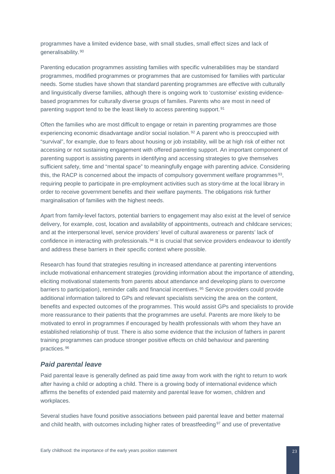programmes have a limited evidence base, with small studies, small effect sizes and lack of generalisability. [90](#page-53-7)

Parenting education programmes assisting families with specific vulnerabilities may be standard programmes, modified programmes or programmes that are customised for families with particular needs. Some studies have shown that standard parenting programmes are effective with culturally and linguistically diverse families, although there is ongoing work to 'customise' existing evidencebased programmes for culturally diverse groups of families. Parents who are most in need of parenting support tend to be the least likely to access parenting support. [91](#page-53-34)

Often the families who are most difficult to engage or retain in parenting programmes are those experiencing economic disadvantage and/or social isolation. [92](#page-53-35) A parent who is preoccupied with "survival", for example, due to fears about housing or job instability, will be at high risk of either not accessing or not sustaining engagement with offered parenting support. An important component of parenting support is assisting parents in identifying and accessing strategies to give themselves sufficient safety, time and "mental space" to meaningfully engage with parenting advice. Considering this, the RACP is concerned about the impacts of compulsory government welfare programmes [93,](#page-53-36) requiring people to participate in pre-employment activities such as story-time at the local library in order to receive government benefits and their welfare payments. The obligations risk further marginalisation of families with the highest needs.

Apart from family-level factors, potential barriers to engagement may also exist at the level of service delivery, for example, cost, location and availability of appointments, outreach and childcare services; and at the interpersonal level, service providers' level of cultural awareness or parents' lack of confidence in interacting with professionals. [94](#page-53-12) It is crucial that service providers endeavour to identify and address these barriers in their specific context where possible.

Research has found that strategies resulting in increased attendance at parenting interventions include motivational enhancement strategies (providing information about the importance of attending, eliciting motivational statements from parents about attendance and developing plans to overcome barriers to participation), reminder calls and financial incentives. [95](#page-53-13) Service providers could provide additional information tailored to GPs and relevant specialists servicing the area on the content, benefits and expected outcomes of the programmes. This would assist GPs and specialists to provide more reassurance to their patients that the programmes are useful. Parents are more likely to be motivated to enrol in programmes if encouraged by health professionals with whom they have an established relationship of trust. There is also some evidence that the inclusion of fathers in parent training programmes can produce stronger positive effects on child behaviour and parenting practices. [96](#page-53-37)

#### <span id="page-23-0"></span>*Paid parental leave*

Paid parental leave is generally defined as paid time away from work with the right to return to work after having a child or adopting a child. There is a growing body of international evidence which affirms the benefits of extended paid maternity and parental leave for women, children and workplaces.

Several studies have found positive associations between paid parental leave and better maternal and child health, with outcomes including higher rates of breastfeeding<sup>[97](#page-53-38)</sup> and use of preventative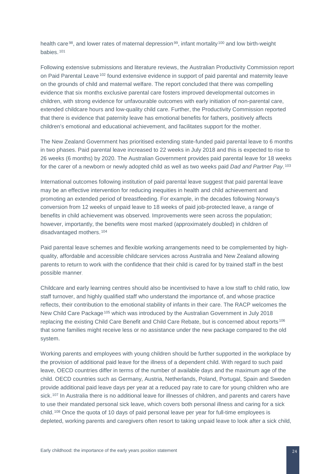health care<sup>98</sup>, and lower rates of maternal depression<sup>[99](#page-53-40)</sup>, infant mortality <sup>[100](#page-53-41)</sup> and low birth-weight babies. [101](#page-53-42)

Following extensive submissions and literature reviews, the Australian Productivity Commission report on Paid Parental Leave<sup>[102](#page-53-43)</sup> found extensive evidence in support of paid parental and maternity leave on the grounds of child and maternal welfare. The report concluded that there was compelling evidence that six months exclusive parental care fosters improved developmental outcomes in children, with strong evidence for unfavourable outcomes with early initiation of non-parental care, extended childcare hours and low-quality child care. Further, the Productivity Commission reported that there is evidence that paternity leave has emotional benefits for fathers, positively affects children's emotional and educational achievement, and facilitates support for the mother.

The New Zealand Government has prioritised extending state-funded paid parental leave to 6 months in two phases. Paid parental leave increased to 22 weeks in July 2018 and this is expected to rise to 26 weeks (6 months) by 2020. The Australian Government provides paid parental leave for 18 weeks for the carer of a newborn or newly adopted child as well as two weeks paid *Dad and Partner Pay*. [103](#page-53-44)

International outcomes following institution of paid parental leave suggest that paid parental leave may be an effective intervention for reducing inequities in health and child achievement and promoting an extended period of breastfeeding. For example, in the decades following Norway's conversion from 12 weeks of unpaid leave to 18 weeks of paid job-protected leave, a range of benefits in child achievement was observed. Improvements were seen across the population; however, importantly, the benefits were most marked (approximately doubled) in children of disadvantaged mothers. [104](#page-53-45)

Paid parental leave schemes and flexible working arrangements need to be complemented by highquality, affordable and accessible childcare services across Australia and New Zealand allowing parents to return to work with the confidence that their child is cared for by trained staff in the best possible manner.

Childcare and early learning centres should also be incentivised to have a low staff to child ratio, low staff turnover, and highly qualified staff who understand the importance of, and whose practice reflects, their contribution to the emotional stability of infants in their care. The RACP welcomes the New Child Care Package<sup>[105](#page-53-46)</sup> which was introduced by the Australian Government in July 2018 replacing the existing Child Care Benefit and Child Care Rebate, but is concerned about reports [106](#page-53-47) that some families might receive less or no assistance under the new package compared to the old system.

Working parents and employees with young children should be further supported in the workplace by the provision of additional paid leave for the illness of a dependent child. With regard to such paid leave, OECD countries differ in terms of the number of available days and the maximum age of the child. OECD countries such as Germany, Austria, Netherlands, Poland, Portugal, Spain and Sweden provide additional paid leave days per year at a reduced pay rate to care for young children who are sick.<sup>[107](#page-53-48)</sup> In Australia there is no additional leave for illnesses of children, and parents and carers have to use their mandated personal sick leave, which covers both personal illness and caring for a sick child. [108](#page-53-49) Once the quota of 10 days of paid personal leave per year for full-time employees is depleted, working parents and caregivers often resort to taking unpaid leave to look after a sick child,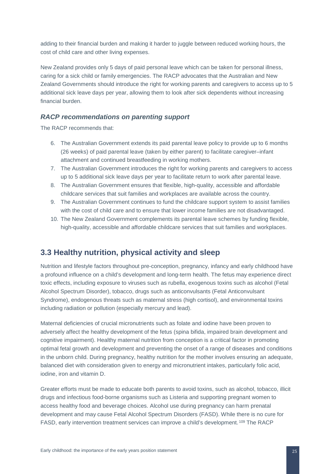adding to their financial burden and making it harder to juggle between reduced working hours, the cost of child care and other living expenses.

New Zealand provides only 5 days of paid personal leave which can be taken for personal illness, caring for a sick child or family emergencies. The RACP advocates that the Australian and New Zealand Governments should introduce the right for working parents and caregivers to access up to 5 additional sick leave days per year, allowing them to look after sick dependents without increasing financial burden.

#### <span id="page-25-0"></span>*RACP recommendations on parenting support*

The RACP recommends that:

- 6. The Australian Government extends its paid parental leave policy to provide up to 6 months (26 weeks) of paid parental leave (taken by either parent) to facilitate caregiver–infant attachment and continued breastfeeding in working mothers.
- 7. The Australian Government introduces the right for working parents and caregivers to access up to 5 additional sick leave days per year to facilitate return to work after parental leave.
- 8. The Australian Government ensures that flexible, high-quality, accessible and affordable childcare services that suit families and workplaces are available across the country.
- 9. The Australian Government continues to fund the childcare support system to assist families with the cost of child care and to ensure that lower income families are not disadvantaged.
- 10. The New Zealand Government complements its parental leave schemes by funding flexible, high-quality, accessible and affordable childcare services that suit families and workplaces.

### <span id="page-25-1"></span>**3.3 Healthy nutrition, physical activity and sleep**

Nutrition and lifestyle factors throughout pre-conception, pregnancy, infancy and early childhood have a profound influence on a child's development and long-term health. The fetus may experience direct toxic effects, including exposure to viruses such as rubella, exogenous toxins such as alcohol (Fetal Alcohol Spectrum Disorder), tobacco, drugs such as anticonvulsants (Fetal Anticonvulsant Syndrome), endogenous threats such as maternal stress (high cortisol), and environmental toxins including radiation or pollution (especially mercury and lead).

Maternal deficiencies of crucial micronutrients such as folate and iodine have been proven to adversely affect the healthy development of the fetus (spina bifida, impaired brain development and cognitive impairment). Healthy maternal nutrition from conception is a critical factor in promoting optimal fetal growth and development and preventing the onset of a range of diseases and conditions in the unborn child. During pregnancy, healthy nutrition for the mother involves ensuring an adequate, balanced diet with consideration given to energy and micronutrient intakes, particularly folic acid, iodine, iron and vitamin D.

Greater efforts must be made to educate both parents to avoid toxins, such as alcohol, tobacco, illicit drugs and infectious food-borne organisms such as Listeria and supporting pregnant women to access healthy food and beverage choices. Alcohol use during pregnancy can harm prenatal development and may cause Fetal Alcohol Spectrum Disorders (FASD). While there is no cure for FASD, early intervention treatment services can improve a child's development. [109](#page-53-50) The RACP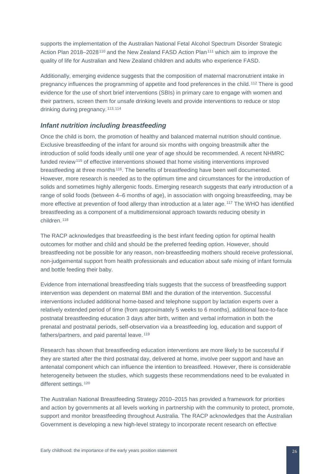supports the implementation of the Australian National Fetal Alcohol Spectrum Disorder Strategic Action Plan 2018–2028<sup>[110](#page-53-51)</sup> and the New Zealand FASD Action Plan<sup>[111](#page-53-52)</sup> which aim to improve the quality of life for Australian and New Zealand children and adults who experience FASD.

Additionally, emerging evidence suggests that the composition of maternal macronutrient intake in pregnancy influences the programming of appetite and food preferences in the child.<sup>[112](#page-53-30)</sup> There is good evidence for the use of short brief interventions (SBIs) in primary care to engage with women and their partners, screen them for unsafe drinking levels and provide interventions to reduce or stop drinking during pregnancy.<sup>[113,](#page-53-53) [114](#page-53-54)</sup>

#### <span id="page-26-0"></span>*Infant nutrition including breastfeeding*

Once the child is born, the promotion of healthy and balanced maternal nutrition should continue. Exclusive breastfeeding of the infant for around six months with ongoing breastmilk after the introduction of solid foods ideally until one year of age should be recommended. A recent NHMRC funded review<sup>[115](#page-53-55)</sup> of effective interventions showed that home visiting interventions improved breastfeeding at three months [116.](#page-53-2) The benefits of breastfeeding have been well documented. However, more research is needed as to the optimum time and circumstances for the introduction of solids and sometimes highly allergenic foods. Emerging research suggests that early introduction of a range of solid foods (between 4–6 months of age), in association with ongoing breastfeeding, may be more effective at prevention of food allergy than introduction at a later age. <sup>[117](#page-53-56)</sup> The WHO has identified breastfeeding as a component of a multidimensional approach towards reducing obesity in children. [118](#page-53-57)

The RACP acknowledges that breastfeeding is the best infant feeding option for optimal health outcomes for mother and child and should be the preferred feeding option. However, should breastfeeding not be possible for any reason, non-breastfeeding mothers should receive professional, non-judgemental support from health professionals and education about safe mixing of infant formula and bottle feeding their baby.

Evidence from international breastfeeding trials suggests that the success of breastfeeding support intervention was dependent on maternal BMI and the duration of the intervention. Successful interventions included additional home-based and telephone support by lactation experts over a relatively extended period of time (from approximately 5 weeks to 6 months), additional face-to-face postnatal breastfeeding education 3 days after birth, written and verbal information in both the prenatal and postnatal periods, self-observation via a breastfeeding log, education and support of fathers/partners, and paid parental leave. [119](#page-53-58)

Research has shown that breastfeeding education interventions are more likely to be successful if they are started after the third postnatal day, delivered at home, involve peer support and have an antenatal component which can influence the intention to breastfeed. However, there is considerable heterogeneity between the studies, which suggests these recommendations need to be evaluated in different settings. [120](#page-53-59)

The Australian National Breastfeeding Strategy 2010–2015 has provided a framework for priorities and action by governments at all levels working in partnership with the community to protect, promote, support and monitor breastfeeding throughout Australia. The RACP acknowledges that the Australian Government is developing a new high-level strategy to incorporate recent research on effective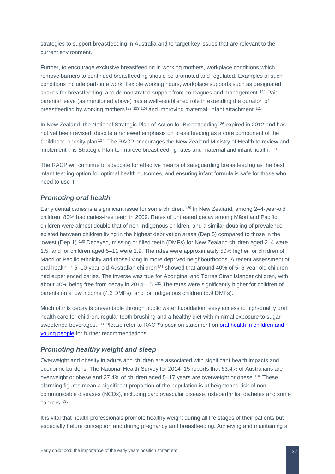strategies to support breastfeeding in Australia and to target key issues that are relevant to the current environment.

Further, to encourage exclusive breastfeeding in working mothers, workplace conditions which remove barriers to continued breastfeeding should be promoted and regulated. Examples of such conditions include part-time work, flexible working hours, workplace supports such as designated spaces for breastfeeding, and demonstrated support from colleagues and management. [121](#page-53-60) Paid parental leave (as mentioned above) has a well-established role in extending the duration of breastfeeding by working mothers [122,](#page-53-61) [123,](#page-53-35) [124](#page-53-36) and improving maternal–infant attachment. [125](#page-53-62).

In New Zealand, the National Strategic Plan of Action for Breastfeeding<sup>[126](#page-53-63)</sup> expired in 2012 and has not yet been revised, despite a renewed emphasis on breastfeeding as a core component of the Childhood obesity plan[127](#page-53-64). The RACP encourages the New Zealand Ministry of Health to review and implement this Strategic Plan to improve breastfeeding rates and maternal and infant health. [128](#page-53-65)

The RACP will continue to advocate for effective means of safeguarding breastfeeding as the best infant feeding option for optimal health outcomes, and ensuring infant formula is safe for those who need to use it.

#### <span id="page-27-0"></span>*Promoting oral health*

Early dental caries is a significant issue for some children. [129](#page-53-66) In New Zealand, among 2–4-year-old children, 80% had caries-free teeth in 2009. Rates of untreated decay among Māori and Pacific children were almost double that of non-Indigenous children, and a similar doubling of prevalence existed between children living in the highest deprivation areas (Dep 5) compared to those in the lowest (Dep 1). [130](#page-53-67) Decayed, missing or filled teeth (DMFs) for New Zealand children aged 2–4 were 1.5, and for children aged 5–11 were 1.9. The rates were approximately 50% higher for children of Māori or Pacific ethnicity and those living in more deprived neighbourhoods. A recent assessment of oral health in 5–10-year-old Australian children<sup>[131](#page-53-68)</sup> showed that around 40% of 5–6-year-old children had experienced caries. The inverse was true for Aboriginal and Torres Strait Islander children, with about 40% being free from decay in 2014–15. [132](#page-53-69) The rates were significantly higher for children of parents on a low income (4.3 DMFs), and for Indigenous children (5.9 DMFs).

Much of this decay is preventable through public water fluoridation, easy access to high-quality oral health care for children, regular tooth brushing and a healthy diet with minimal exposure to sugar-sweetened beverages.<sup>[133](#page-53-70)</sup> Please refer to RACP's position statement on oral health in children and [young people](https://www.racp.edu.au/docs/default-source/default-document-library/pa-pos-oral-health-in-children-and-young-people%20.pdf) for further recommendations.

#### <span id="page-27-1"></span>*Promoting healthy weight and sleep*

Overweight and obesity in adults and children are associated with significant health impacts and economic burdens. The National Health Survey for 2014–15 reports that 63.4% of Australians are overweight or obese and 27.4% of children aged 5–17 years are overweight or obese. [134](#page-53-71) These alarming figures mean a significant proportion of the population is at heightened risk of noncommunicable diseases (NCDs), including cardiovascular disease, osteoarthritis, diabetes and some cancers. [135](#page-53-72)

It is vital that health professionals promote healthy weight during all life stages of their patients but especially before conception and during pregnancy and breastfeeding. Achieving and maintaining a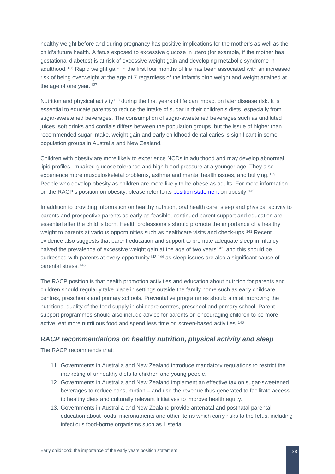healthy weight before and during pregnancy has positive implications for the mother's as well as the child's future health. A fetus exposed to excessive glucose in utero (for example, if the mother has gestational diabetes) is at risk of excessive weight gain and developing metabolic syndrome in adulthood. [136](#page-53-73) Rapid weight gain in the first four months of life has been associated with an increased risk of being overweight at the age of 7 regardless of the infant's birth weight and weight attained at the age of one year.<sup>[137](#page-53-74)</sup>

Nutrition and physical activity<sup>[138](#page-53-75)</sup> during the first years of life can impact on later disease risk. It is essential to educate parents to reduce the intake of sugar in their children's diets, especially from sugar-sweetened beverages. The consumption of sugar-sweetened beverages such as undiluted juices, soft drinks and cordials differs between the population groups, but the issue of higher than recommended sugar intake, weight gain and early childhood dental caries is significant in some population groups in Australia and New Zealand.

Children with obesity are more likely to experience NCDs in adulthood and may develop abnormal lipid profiles, impaired glucose tolerance and high blood pressure at a younger age. They also experience more musculoskeletal problems, asthma and mental health issues, and bullying. [139](#page-53-76) People who develop obesity as children are more likely to be obese as adults. For more information on the RACP's position on obesity, please refer to its [position statement](https://www.racp.edu.au/docs/default-source/advocacy-library/racp-obesity-position-statement.pdf?sfvrsn=6e3b0b1a_5) on obesity.<sup>[140](#page-53-77)</sup>

In addition to providing information on healthy nutrition, oral health care, sleep and physical activity to parents and prospective parents as early as feasible, continued parent support and education are essential after the child is born. Health professionals should promote the importance of a healthy weight to parents at various opportunities such as healthcare visits and check-ups.<sup>[141](#page-53-78)</sup> Recent evidence also suggests that parent education and support to promote adequate sleep in infancy halved the prevalence of excessive weight gain at the age of two years<sup>142</sup>, and this should be addressed with parents at every opportunity [143,](#page-53-80) [144](#page-53-81) as sleep issues are also a significant cause of parental stress. [145](#page-53-82)

The RACP position is that health promotion activities and education about nutrition for parents and children should regularly take place in settings outside the family home such as early childcare centres, preschools and primary schools. Preventative programmes should aim at improving the nutritional quality of the food supply in childcare centres, preschool and primary school. Parent support programmes should also include advice for parents on encouraging children to be more active, eat more nutritious food and spend less time on screen-based activities. [146](#page-53-83)

#### <span id="page-28-0"></span>*RACP recommendations on healthy nutrition, physical activity and sleep*

- 11. Governments in Australia and New Zealand introduce mandatory regulations to restrict the marketing of unhealthy diets to children and young people.
- 12. Governments in Australia and New Zealand implement an effective tax on sugar-sweetened beverages to reduce consumption – and use the revenue thus generated to facilitate access to healthy diets and culturally relevant initiatives to improve health equity.
- 13. Governments in Australia and New Zealand provide antenatal and postnatal parental education about foods, micronutrients and other items which carry risks to the fetus, including infectious food-borne organisms such as Listeria.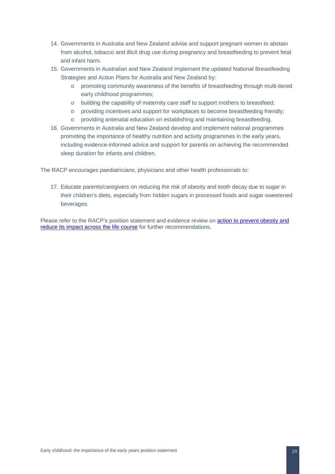- 14. Governments in Australia and New Zealand advise and support pregnant women to abstain from alcohol, tobacco and illicit drug use during pregnancy and breastfeeding to prevent fetal and infant harm.
- 15. Governments in Australian and New Zealand implement the updated National Breastfeeding Strategies and Action Plans for Australia and New Zealand by:
	- o promoting community awareness of the benefits of breastfeeding through multi-tiered early childhood programmes;
	- o building the capability of maternity care staff to support mothers to breastfeed;
	- o providing incentives and support for workplaces to become breastfeeding friendly;
	- o providing antenatal education on establishing and maintaining breastfeeding.
- 16. Governments in Australia and New Zealand develop and implement national programmes promoting the importance of healthy nutrition and activity programmes in the early years, including evidence-informed advice and support for parents on achieving the recommended sleep duration for infants and children.

The RACP encourages paediatricians, physicians and other health professionals to:

17. Educate parents/caregivers on reducing the risk of obesity and tooth decay due to sugar in their children's diets, especially from hidden sugars in processed foods and sugar-sweetened beverages.

Please refer to the RACP's position statement and evidence review on action to prevent obesity and [reduce its impact across the life course](https://www.racp.edu.au/advocacy/policy-and-advocacy-priorities/obesity) for further recommendations.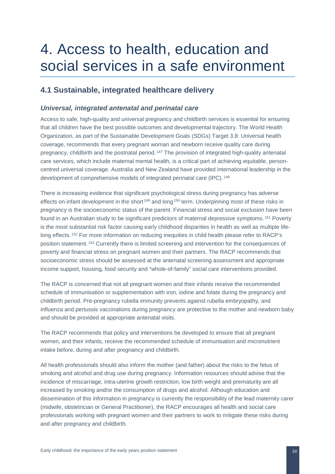## <span id="page-30-0"></span>4. Access to health, education and social services in a safe environment

## <span id="page-30-1"></span>**4.1 Sustainable, integrated healthcare delivery**

#### <span id="page-30-2"></span>*Universal, integrated antenatal and perinatal care*

Access to safe, high-quality and universal pregnancy and childbirth services is essential for ensuring that all children have the best possible outcomes and developmental trajectory. The World Health Organization, as part of the Sustainable Development Goals (SDGs) Target 3.8: Universal health coverage, recommends that every pregnant woman and newborn receive quality care during pregnancy, childbirth and the postnatal period. [147](#page-53-84) The provision of integrated high-quality antenatal care services, which include maternal mental health, is a critical part of achieving equitable, personcentred universal coverage. Australia and New Zealand have provided international leadership in the development of comprehensive models of integrated perinatal care (IPC). [148](#page-53-85)

There is increasing evidence that significant psychological stress during pregnancy has adverse effects on infant development in the short<sup>[149](#page-53-86)</sup> and long<sup>[150](#page-53-87)</sup> term. Underpinning most of these risks in pregnancy is the socioeconomic status of the parent. Financial stress and social exclusion have been found in an Australian study to be significant predictors of maternal depressive symptoms. [151](#page-53-88) Poverty is the most substantial risk factor causing early childhood disparities in health as well as multiple life-long effects. <sup>[152](#page-53-89)</sup> For more information on reducing inequities in child health please refer to RACP's position statement. [153](#page-53-90) Currently there is limited screening and intervention for the consequences of poverty and financial stress on pregnant women and their partners. The RACP recommends that socioeconomic stress should be assessed at the antenatal screening assessment and appropriate income support, housing, food security and "whole-of-family" social care interventions provided.

The RACP is concerned that not all pregnant women and their infants receive the recommended schedule of immunisation or supplementation with iron, iodine and folate during the pregnancy and childbirth period. Pre-pregnancy rubella immunity prevents against rubella embryopathy, and influenza and pertussis vaccinations during pregnancy are protective to the mother and newborn baby and should be provided at appropriate antenatal visits.

The RACP recommends that policy and interventions be developed to ensure that all pregnant women, and their infants, receive the recommended schedule of immunisation and micronutrient intake before, during and after pregnancy and childbirth.

All health professionals should also inform the mother (and father) about the risks to the fetus of smoking and alcohol and drug use during pregnancy. Information resources should advise that the incidence of miscarriage, intra-uterine growth restriction, low birth weight and prematurity are all increased by smoking and/or the consumption of drugs and alcohol. Although education and dissemination of this information in pregnancy is currently the responsibility of the lead maternity carer (midwife, obstetrician or General Practitioner), the RACP encourages all health and social care professionals working with pregnant women and their partners to work to mitigate these risks during and after pregnancy and childbirth.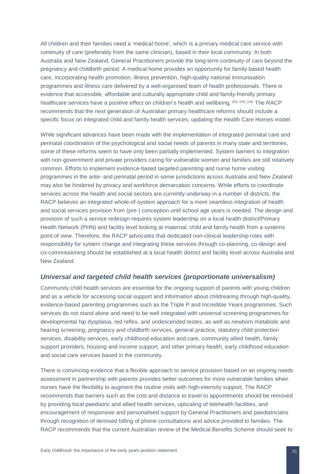All children and their families need a 'medical home', which is a primary medical care service with continuity of care (preferably from the same clinician), based in their local community. In both Australia and New Zealand, General Practitioners provide the long-term continuity of care beyond the pregnancy and childbirth period. A medical home provides an opportunity for family-based health care, incorporating health promotion, illness prevention, high-quality national immunisation programmes and illness care delivered by a well-organised team of health professionals. There is evidence that accessible, affordable and culturally appropriate child and family-friendly primary healthcare services have a positive effect on children's health and wellbeing. [154,](#page-53-91) [155](#page-53-92), [156](#page-53-93) The RACP recommends that the next generation of Australian primary healthcare reforms should include a specific focus on integrated child and family health services, updating the Health Care Homes model.

While significant advances have been made with the implementation of integrated perinatal care and perinatal coordination of the psychological and social needs of parents in many state and territories, some of these reforms seem to have only been partially implemented. System barriers to integration with non-government and private providers caring for vulnerable women and families are still relatively common. Efforts to implement evidence-based targeted parenting and nurse home visiting programmes in the ante- and perinatal period in some jurisdictions across Australia and New Zealand may also be hindered by privacy and workforce demarcation concerns. While efforts to coordinate services across the health and social sectors are currently underway in a number of districts, the RACP believes an integrated whole-of-system approach for a more seamless integration of health and social services provision from (pre-) conception until school age years is needed. The design and provision of such a service redesign requires system leadership on a local health district/Primary Health Network (PHN) and facility level looking at maternal, child and family health from a systems point of view. Therefore, the RACP advocates that dedicated non-clinical leadership roles with responsibility for system change and integrating these services through co-planning, co-design and co-commissioning should be established at a local health district and facility level across Australia and New Zealand.

#### <span id="page-31-0"></span>*Universal and targeted child health services (proportionate universalism)*

Community child health services are essential for the ongoing support of parents with young children and as a vehicle for accessing social support and information about childrearing through high-quality, evidence-based parenting programmes such as the Triple P and Incredible Years programmes. Such services do not stand alone and need to be well integrated with universal screening programmes for developmental hip dysplasia, red reflex, and undescended testes, as well as newborn metabolic and hearing screening, pregnancy and childbirth services, general practice, statutory child protection services, disability services, early childhood education and care, community allied health, family support providers, housing and income support, and other primary health, early childhood education and social care services based in the community.

There is convincing evidence that a flexible approach to service provision based on an ongoing needs assessment in partnership with parents provides better outcomes for more vulnerable families when nurses have the flexibility to augment the routine visits with high-intensity support. The RACP recommends that barriers such as the cost and distance to travel to appointments should be removed by providing local paediatric and allied health services, upscaling of telehealth facilities, and encouragement of responsive and personalised support by General Practitioners and paediatricians through recognition of itemised billing of phone consultations and advice provided to families. The RACP recommends that the current Australian review of the Medical Benefits Scheme should seek to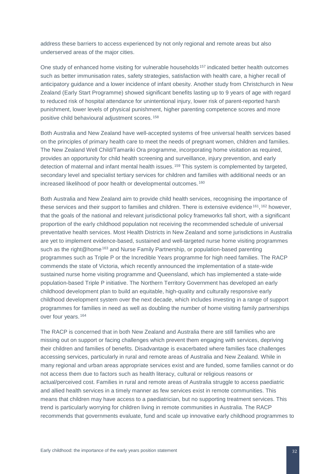address these barriers to access experienced by not only regional and remote areas but also underserved areas of the major cities.

One study of enhanced home visiting for vulnerable households [157](#page-53-94) indicated better health outcomes such as better immunisation rates, safety strategies, satisfaction with health care, a higher recall of anticipatory guidance and a lower incidence of infant obesity. Another study from Christchurch in New Zealand (Early Start Programme) showed significant benefits lasting up to 9 years of age with regard to reduced risk of hospital attendance for unintentional injury, lower risk of parent-reported harsh punishment, lower levels of physical punishment, higher parenting competence scores and more positive child behavioural adjustment scores. [158](#page-53-12)

Both Australia and New Zealand have well-accepted systems of free universal health services based on the principles of primary health care to meet the needs of pregnant women, children and families. The New Zealand Well Child/Tamariki Ora programme, incorporating home visitation as required, provides an opportunity for child health screening and surveillance, injury prevention, and early detection of maternal and infant mental health issues. [159](#page-53-13) This system is complemented by targeted, secondary level and specialist tertiary services for children and families with additional needs or an increased likelihood of poor health or developmental outcomes. [160](#page-53-95)

Both Australia and New Zealand aim to provide child health services, recognising the importance of these services and their support to families and children. There is extensive evidence<sup>[161](#page-53-38)</sup>, <sup>[162](#page-53-39)</sup> however, that the goals of the national and relevant jurisdictional policy frameworks fall short, with a significant proportion of the early childhood population not receiving the recommended schedule of universal preventative health services. Most Health Districts in New Zealand and some jurisdictions in Australia are yet to implement evidence-based, sustained and well-targeted nurse home visiting programmes such as the right@home<sup>[163](#page-53-96)</sup> and Nurse Family Partnership, or population-based parenting programmes such as Triple P or the Incredible Years programme for high need families. The RACP commends the state of Victoria, which recently announced the implementation of a state-wide sustained nurse home visiting programme and Queensland, which has implemented a state-wide population-based Triple P initiative. The Northern Territory Government has developed an early childhood development plan to build an equitable, high-quality and culturally responsive early childhood development system over the next decade, which includes investing in a range of support programmes for families in need as well as doubling the number of home visiting family partnerships over four years. [164](#page-53-97)

The RACP is concerned that in both New Zealand and Australia there are still families who are missing out on support or facing challenges which prevent them engaging with services, depriving their children and families of benefits. Disadvantage is exacerbated where families face challenges accessing services, particularly in rural and remote areas of Australia and New Zealand. While in many regional and urban areas appropriate services exist and are funded, some families cannot or do not access them due to factors such as health literacy, cultural or religious reasons or actual/perceived cost. Families in rural and remote areas of Australia struggle to access paediatric and allied health services in a timely manner as few services exist in remote communities. This means that children may have access to a paediatrician, but no supporting treatment services. This trend is particularly worrying for children living in remote communities in Australia. The RACP recommends that governments evaluate, fund and scale up innovative early childhood programmes to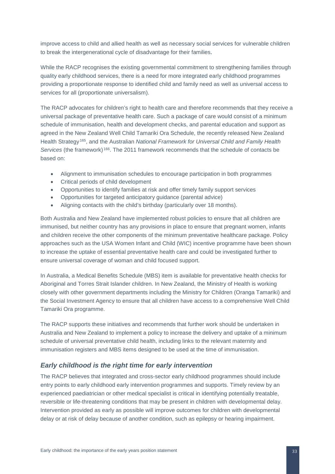improve access to child and allied health as well as necessary social services for vulnerable children to break the intergenerational cycle of disadvantage for their families.

While the RACP recognises the existing governmental commitment to strengthening families through quality early childhood services, there is a need for more integrated early childhood programmes providing a proportionate response to identified child and family need as well as universal access to services for all (proportionate universalism).

The RACP advocates for children's right to health care and therefore recommends that they receive a universal package of preventative health care. Such a package of care would consist of a minimum schedule of immunisation, health and development checks, and parental education and support as agreed in the New Zealand Well Child Tamariki Ora Schedule, the recently released New Zealand Health Strategy [165,](#page-53-98) and the Australian *National Framework for Universal Child and Family Health Services* (the framework) [166](#page-53-99). The 2011 framework recommends that the schedule of contacts be based on:

- Alignment to immunisation schedules to encourage participation in both programmes
- Critical periods of child development
- Opportunities to identify families at risk and offer timely family support services
- Opportunities for targeted anticipatory guidance (parental advice)
- Aligning contacts with the child's birthday (particularly over 18 months).

Both Australia and New Zealand have implemented robust policies to ensure that all children are immunised, but neither country has any provisions in place to ensure that pregnant women, infants and children receive the other components of the minimum preventative healthcare package. Policy approaches such as the USA Women Infant and Child (WIC) incentive programme have been shown to increase the uptake of essential preventative health care and could be investigated further to ensure universal coverage of woman and child focused support.

In Australia, a Medical Benefits Schedule (MBS) item is available for preventative health checks for Aboriginal and Torres Strait Islander children. In New Zealand, the Ministry of Health is working closely with other government departments including the Ministry for Children (Oranga Tamariki) and the Social Investment Agency to ensure that all children have access to a comprehensive Well Child Tamariki Ora programme.

The RACP supports these initiatives and recommends that further work should be undertaken in Australia and New Zealand to implement a policy to increase the delivery and uptake of a minimum schedule of universal preventative child health, including links to the relevant maternity and immunisation registers and MBS items designed to be used at the time of immunisation.

#### <span id="page-33-0"></span>*Early childhood is the right time for early intervention*

The RACP believes that integrated and cross-sector early childhood programmes should include entry points to early childhood early intervention programmes and supports. Timely review by an experienced paediatrician or other medical specialist is critical in identifying potentially treatable, reversible or life-threatening conditions that may be present in children with developmental delay. Intervention provided as early as possible will improve outcomes for children with developmental delay or at risk of delay because of another condition, such as epilepsy or hearing impairment.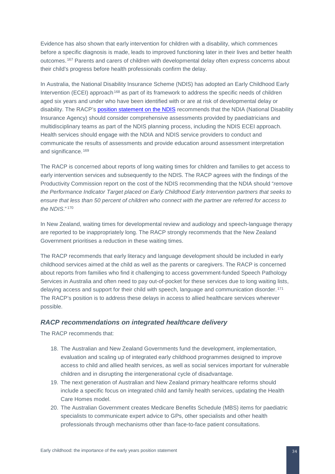Evidence has also shown that early intervention for children with a disability, which commences before a specific diagnosis is made, leads to improved functioning later in their lives and better health outcomes. [167](#page-53-21) Parents and carers of children with developmental delay often express concerns about their child's progress before health professionals confirm the delay.

In Australia, the National Disability Insurance Scheme (NDIS) has adopted an Early Childhood Early Intervention (ECEI) approach<sup>[168](#page-53-22)</sup> as part of its framework to address the specific needs of children aged six years and under who have been identified with or are at risk of developmental delay or disability. The RACP's [position statement on the NDIS](https://www.racp.edu.au/docs/default-source/advocacy-library/health-and-the-national-disability-insurance-scheme-position-statement.pdf?sfvrsn=6) recommends that the NDIA (National Disability Insurance Agency) should consider comprehensive assessments provided by paediatricians and multidisciplinary teams as part of the NDIS planning process, including the NDIS ECEI approach. Health services should engage with the NDIA and NDIS service providers to conduct and communicate the results of assessments and provide education around assessment interpretation and significance. [169](#page-53-100)

The RACP is concerned about reports of long waiting times for children and families to get access to early intervention services and subsequently to the NDIS. The RACP agrees with the findings of the Productivity Commission report on the cost of the NDIS recommending that the NDIA should "*remove the Performance Indicator Target placed on Early Childhood Early Intervention partners that seeks to ensure that less than 50 percent of children who connect with the partner are referred for access to the NDIS*." [170](#page-53-24)

In New Zealand, waiting times for developmental review and audiology and speech-language therapy are reported to be inappropriately long. The RACP strongly recommends that the New Zealand Government prioritises a reduction in these waiting times.

The RACP recommends that early literacy and language development should be included in early childhood services aimed at the child as well as the parents or caregivers. The RACP is concerned about reports from families who find it challenging to access government-funded Speech Pathology Services in Australia and often need to pay out-of-pocket for these services due to long waiting lists, delaying access and support for their child with speech, language and communication disorder. [171](#page-53-25) The RACP's position is to address these delays in access to allied healthcare services wherever possible.

#### <span id="page-34-0"></span>*RACP recommendations on integrated healthcare delivery*

- 18. The Australian and New Zealand Governments fund the development, implementation, evaluation and scaling up of integrated early childhood programmes designed to improve access to child and allied health services, as well as social services important for vulnerable children and in disrupting the intergenerational cycle of disadvantage.
- 19. The next generation of Australian and New Zealand primary healthcare reforms should include a specific focus on integrated child and family health services, updating the Health Care Homes model.
- 20. The Australian Government creates Medicare Benefits Schedule (MBS) items for paediatric specialists to communicate expert advice to GPs, other specialists and other health professionals through mechanisms other than face-to-face patient consultations.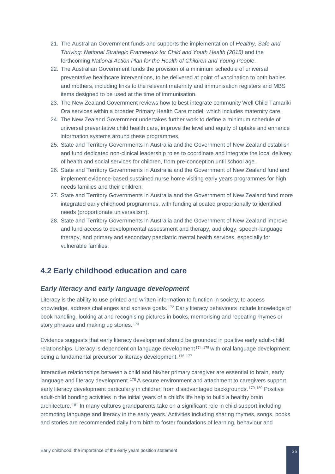- 21. The Australian Government funds and supports the implementation of *Healthy, Safe and Thriving: National Strategic Framework for Child and Youth Health (2015)* and the forthcoming *National Action Plan for the Health of Children and Young People*.
- 22. The Australian Government funds the provision of a minimum schedule of universal preventative healthcare interventions, to be delivered at point of vaccination to both babies and mothers, including links to the relevant maternity and immunisation registers and MBS items designed to be used at the time of immunisation.
- 23. The New Zealand Government reviews how to best integrate community Well Child Tamariki Ora services within a broader Primary Health Care model, which includes maternity care.
- 24. The New Zealand Government undertakes further work to define a minimum schedule of universal preventative child health care, improve the level and equity of uptake and enhance information systems around these programmes.
- 25. State and Territory Governments in Australia and the Government of New Zealand establish and fund dedicated non-clinical leadership roles to coordinate and integrate the local delivery of health and social services for children, from pre-conception until school age.
- 26. State and Territory Governments in Australia and the Government of New Zealand fund and implement evidence-based sustained nurse home visiting early years programmes for high needs families and their children;
- 27. State and Territory Governments in Australia and the Government of New Zealand fund more integrated early childhood programmes, with funding allocated proportionally to identified needs (proportionate universalism).
- 28. State and Territory Governments in Australia and the Government of New Zealand improve and fund access to developmental assessment and therapy, audiology, speech-language therapy, and primary and secondary paediatric mental health services, especially for vulnerable families.

## <span id="page-35-0"></span>**4.2 Early childhood education and care**

#### <span id="page-35-1"></span>*Early literacy and early language development*

Literacy is the ability to use printed and written information to function in society, to access knowledge, address challenges and achieve goals. [172](#page-53-101) Early literacy behaviours include knowledge of book handling, looking at and recognising pictures in books, memorising and repeating rhymes or story phrases and making up stories.<sup>[173](#page-53-102)</sup>

Evidence suggests that early literacy development should be grounded in positive early adult-child relationships. Literacy is dependent on language development<sup>[174](#page-53-80), [175](#page-53-103)</sup> with oral language development being a fundamental precursor to literacy development. [176,](#page-53-104) [177](#page-53-31)

Interactive relationships between a child and his/her primary caregiver are essential to brain, early language and literacy development. [178](#page-53-32) A secure environment and attachment to caregivers support early literacy development particularly in children from disadvantaged backgrounds. <sup>[179,](#page-53-1) [180](#page-53-105)</sup> Positive adult-child bonding activities in the initial years of a child's life help to build a healthy brain architecture. [181](#page-53-56) In many cultures grandparents take on a significant role in child support including promoting language and literacy in the early years. Activities including sharing rhymes, songs, books and stories are recommended daily from birth to foster foundations of learning, behaviour and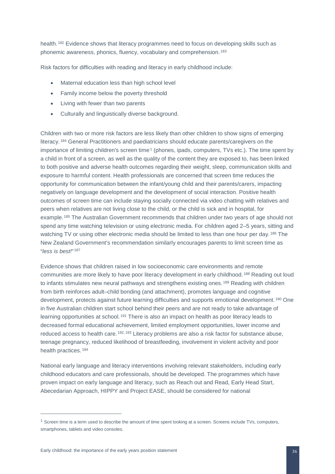health. <sup>[182](#page-53-106)</sup> Evidence shows that literacy programmes need to focus on developing skills such as phonemic awareness, phonics, fluency, vocabulary and comprehension. [183](#page-53-107)

Risk factors for difficulties with reading and literacy in early childhood include:

- Maternal education less than high school level
- Family income below the poverty threshold
- Living with fewer than two parents
- Culturally and linguistically diverse background.

Children with two or more risk factors are less likely than other children to show signs of emerging literacy. [184](#page-53-108) General Practitioners and paediatricians should educate parents/caregivers on the importance of limiting children's screen time<sup>[1](#page-36-0)</sup> (phones, ipads, computers, TVs etc.). The time spent by a child in front of a screen, as well as the quality of the content they are exposed to, has been linked to both positive and adverse health outcomes regarding their weight, sleep, communication skills and exposure to harmful content. Health professionals are concerned that screen time reduces the opportunity for communication between the infant/young child and their parents/carers, impacting negatively on language development and the development of social interaction. Positive health outcomes of screen time can include staying socially connected via video chatting with relatives and peers when relatives are not living close to the child, or the child is sick and in hospital, for example. [185](#page-53-109) The Australian Government recommends that children under two years of age should not spend any time watching television or using electronic media. For children aged 2–5 years, sitting and watching TV or using other electronic media should be limited to less than one hour per day. <sup>[186](#page-53-110)</sup> The New Zealand Government's recommendation similarly encourages parents to limit screen time as "*less is best!*" [187](#page-53-111)

Evidence shows that children raised in low socioeconomic care environments and remote communities are more likely to have poor literacy development in early childhood. [188](#page-53-12) Reading out loud to infants stimulates new neural pathways and strengthens existing ones.<sup>[189](#page-53-112)</sup> Reading with children from birth reinforces adult–child bonding (and attachment), promotes language and cognitive development, protects against future learning difficulties and supports emotional development. [190](#page-53-113) One in five Australian children start school behind their peers and are not ready to take advantage of learning opportunities at school.<sup>[191](#page-53-114)</sup> There is also an impact on health as poor literacy leads to decreased formal educational achievement, limited employment opportunities, lower income and reduced access to health care. [192,](#page-53-115) [193](#page-53-116) Literacy problems are also a risk factor for substance abuse, teenage pregnancy, reduced likelihood of breastfeeding, involvement in violent activity and poor health practices. [194](#page-53-41)

National early language and literacy interventions involving relevant stakeholders, including early childhood educators and care professionals, should be developed. The programmes which have proven impact on early language and literacy, such as Reach out and Read, Early Head Start, Abecedarian Approach, HIPPY and Project EASE, should be considered for national

 $\overline{a}$ 

<span id="page-36-0"></span> $1$  Screen time is a term used to describe the amount of time spent looking at a screen. Screens include TVs, computers, smartphones, tablets and video consoles.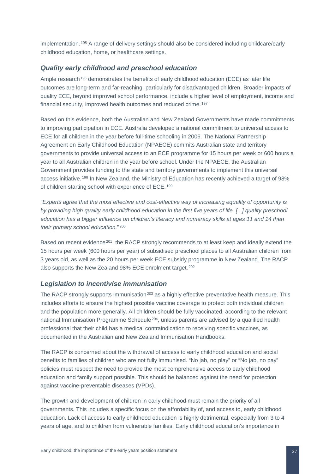implementation. [195](#page-53-117) A range of delivery settings should also be considered including childcare/early childhood education, home, or healthcare settings.

#### <span id="page-37-0"></span>*Quality early childhood and preschool education*

Ample research<sup>[196](#page-53-118)</sup> demonstrates the benefits of early childhood education (ECE) as later life outcomes are long-term and far-reaching, particularly for disadvantaged children. Broader impacts of quality ECE, beyond improved school performance, include a higher level of employment, income and financial security, improved health outcomes and reduced crime. [197](#page-53-119)

Based on this evidence, both the Australian and New Zealand Governments have made commitments to improving participation in ECE. Australia developed a national commitment to universal access to ECE for all children in the year before full-time schooling in 2006. The National Partnership Agreement on Early Childhood Education (NPAECE) commits Australian state and territory governments to provide universal access to an ECE programme for 15 hours per week or 600 hours a year to all Australian children in the year before school. Under the NPAECE, the Australian Government provides funding to the state and territory governments to implement this universal access initiative. [198](#page-53-120) In New Zealand, the Ministry of Education has recently achieved a target of 98% of children starting school with experience of ECE. [199](#page-53-121)

"*Experts agree that the most effective and cost-effective way of increasing equality of opportunity is by providing high quality early childhood education in the first five years of life. [...] quality preschool education has a bigger influence on children's literacy and numeracy skills at ages 11 and 14 than their primary school education.*" [200](#page-53-122)

Based on recent evidence<sup>[201](#page-53-48)</sup>, the RACP strongly recommends to at least keep and ideally extend the 15 hours per week (600 hours per year) of subsidised preschool places to all Australian children from 3 years old, as well as the 20 hours per week ECE subsidy programme in New Zealand. The RACP also supports the New Zealand 98% ECE enrolment target. [202](#page-53-123)

#### <span id="page-37-1"></span>*Legislation to incentivise immunisation*

The RACP strongly supports immunisation<sup>[203](#page-53-50)</sup> as a highly effective preventative health measure. This includes efforts to ensure the highest possible vaccine coverage to protect both individual children and the population more generally. All children should be fully vaccinated, according to the relevant national Immunisation Programme Schedule<sup>204</sup>, unless parents are advised by a qualified health professional that their child has a medical contraindication to receiving specific vaccines, as documented in the Australian and New Zealand Immunisation Handbooks.

The RACP is concerned about the withdrawal of access to early childhood education and social benefits to families of children who are not fully immunised. "No jab, no play" or "No jab, no pay" policies must respect the need to provide the most comprehensive access to early childhood education and family support possible. This should be balanced against the need for protection against vaccine-preventable diseases (VPDs).

The growth and development of children in early childhood must remain the priority of all governments. This includes a specific focus on the affordability of, and access to, early childhood education. Lack of access to early childhood education is highly detrimental, especially from 3 to 4 years of age, and to children from vulnerable families. Early childhood education's importance in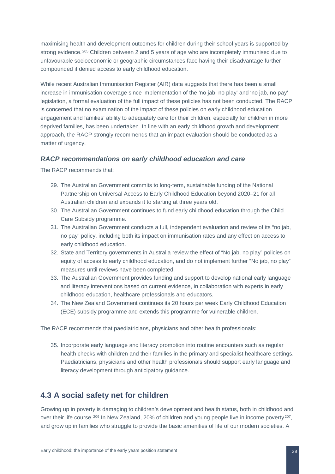maximising health and development outcomes for children during their school years is supported by strong evidence. <sup>[205](#page-53-125)</sup> Children between 2 and 5 years of age who are incompletely immunised due to unfavourable socioeconomic or geographic circumstances face having their disadvantage further compounded if denied access to early childhood education.

While recent Australian Immunisation Register (AIR) data suggests that there has been a small increase in immunisation coverage since implementation of the 'no jab, no play' and 'no jab, no pay' legislation, a formal evaluation of the full impact of these policies has not been conducted. The RACP is concerned that no examination of the impact of these policies on early childhood education engagement and families' ability to adequately care for their children, especially for children in more deprived families, has been undertaken. In line with an early childhood growth and development approach, the RACP strongly recommends that an impact evaluation should be conducted as a matter of urgency.

#### <span id="page-38-0"></span>*RACP recommendations on early childhood education and care*

The RACP recommends that:

- 29. The Australian Government commits to long-term, sustainable funding of the National Partnership on Universal Access to Early Childhood Education beyond 2020–21 for all Australian children and expands it to starting at three years old.
- 30. The Australian Government continues to fund early childhood education through the Child Care Subsidy programme.
- 31. The Australian Government conducts a full, independent evaluation and review of its "no jab, no pay" policy, including both its impact on immunisation rates and any effect on access to early childhood education.
- 32. State and Territory governments in Australia review the effect of "No jab, no play" policies on equity of access to early childhood education, and do not implement further "No jab, no play" measures until reviews have been completed.
- 33. The Australian Government provides funding and support to develop national early language and literacy interventions based on current evidence, in collaboration with experts in early childhood education, healthcare professionals and educators.
- 34. The New Zealand Government continues its 20 hours per week Early Childhood Education (ECE) subsidy programme and extends this programme for vulnerable children.

The RACP recommends that paediatricians, physicians and other health professionals:

35. Incorporate early language and literacy promotion into routine encounters such as regular health checks with children and their families in the primary and specialist healthcare settings. Paediatricians, physicians and other health professionals should support early language and literacy development through anticipatory guidance.

### <span id="page-38-1"></span>**4.3 A social safety net for children**

Growing up in poverty is damaging to children's development and health status, both in childhood and over their life course. [206](#page-53-126) In New Zealand, 20% of children and young people live in income poverty [207,](#page-53-127) and grow up in families who struggle to provide the basic amenities of life of our modern societies. A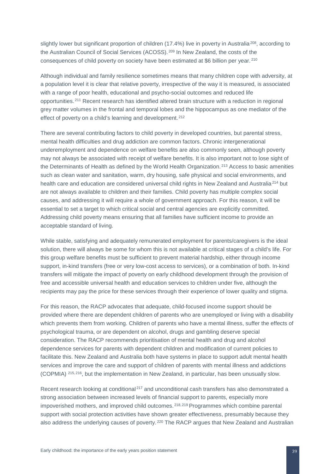slightly lower but significant proportion of children (17.4%) live in poverty in Australia<sup>208</sup>, according to the Australian Council of Social Services (ACOSS). [209](#page-53-32) In New Zealand, the costs of the consequences of child poverty on society have been estimated at \$6 billion per year. [210](#page-53-55)

Although individual and family resilience sometimes means that many children cope with adversity, at a population level it is clear that relative poverty, irrespective of the way it is measured, is associated with a range of poor health, educational and psycho-social outcomes and reduced life opportunities. [211](#page-53-129) Recent research has identified altered brain structure with a reduction in regional grey matter volumes in the frontal and temporal lobes and the hippocampus as one mediator of the effect of poverty on a child's learning and development. [212](#page-53-130)

There are several contributing factors to child poverty in developed countries, but parental stress, mental health difficulties and drug addiction are common factors. Chronic intergenerational underemployment and dependence on welfare benefits are also commonly seen, although poverty may not always be associated with receipt of welfare benefits. It is also important not to lose sight of the Determinants of Health as defined by the World Health Organization. [213](#page-53-131) Access to basic amenities such as clean water and sanitation, warm, dry housing, safe physical and social environments, and health care and education are considered universal child rights in New Zealand and Australia<sup>[214](#page-53-88)</sup> but are not always available to children and their families. Child poverty has multiple complex social causes, and addressing it will require a whole of government approach. For this reason, it will be essential to set a target to which critical social and central agencies are explicitly committed. Addressing child poverty means ensuring that all families have sufficient income to provide an acceptable standard of living.

While stable, satisfying and adequately remunerated employment for parents/caregivers is the ideal solution, there will always be some for whom this is not available at critical stages of a child's life. For this group welfare benefits must be sufficient to prevent material hardship, either through income support, in-kind transfers (free or very low-cost access to services), or a combination of both. In-kind transfers will mitigate the impact of poverty on early childhood development through the provision of free and accessible universal health and education services to children under five, although the recipients may pay the price for these services through their experience of lower quality and stigma.

For this reason, the RACP advocates that adequate, child-focused income support should be provided where there are dependent children of parents who are unemployed or living with a disability which prevents them from working. Children of parents who have a mental illness, suffer the effects of psychological trauma, or are dependent on alcohol, drugs and gambling deserve special consideration. The RACP recommends prioritisation of mental health and drug and alcohol dependence services for parents with dependent children and modification of current policies to facilitate this. New Zealand and Australia both have systems in place to support adult mental health services and improve the care and support of children of parents with mental illness and addictions (COPMIA) [215,](#page-53-132) [216](#page-53-133), but the implementation in New Zealand, in particular, has been unusually slow.

Recent research looking at conditional<sup>[217](#page-53-91)</sup> and unconditional cash transfers has also demonstrated a strong association between increased levels of financial support to parents, especially more impoverished mothers, and improved child outcomes. [218,](#page-53-134) [219](#page-53-12) Programmes which combine parental support with social protection activities have shown greater effectiveness, presumably because they also address the underlying causes of poverty.<sup>[220](#page-53-135)</sup> The RACP argues that New Zealand and Australian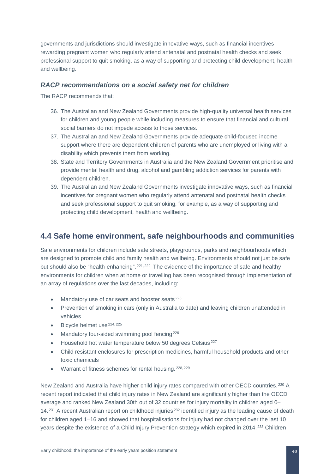governments and jurisdictions should investigate innovative ways, such as financial incentives rewarding pregnant women who regularly attend antenatal and postnatal health checks and seek professional support to quit smoking, as a way of supporting and protecting child development, health and wellbeing.

#### <span id="page-40-0"></span>*RACP recommendations on a social safety net for children*

The RACP recommends that:

- 36. The Australian and New Zealand Governments provide high-quality universal health services for children and young people while including measures to ensure that financial and cultural social barriers do not impede access to those services.
- 37. The Australian and New Zealand Governments provide adequate child-focused income support where there are dependent children of parents who are unemployed or living with a disability which prevents them from working.
- 38. State and Territory Governments in Australia and the New Zealand Government prioritise and provide mental health and drug, alcohol and gambling addiction services for parents with dependent children.
- 39. The Australian and New Zealand Governments investigate innovative ways, such as financial incentives for pregnant women who regularly attend antenatal and postnatal health checks and seek professional support to quit smoking, for example, as a way of supporting and protecting child development, health and wellbeing.

### <span id="page-40-1"></span>**4.4 Safe home environment, safe neighbourhoods and communities**

Safe environments for children include safe streets, playgrounds, parks and neighbourhoods which are designed to promote child and family health and wellbeing. Environments should not just be safe but should also be "health-enhancing". [221,](#page-53-14) [222](#page-53-136) The evidence of the importance of safe and healthy environments for children when at home or travelling has been recognised through implementation of an array of regulations over the last decades, including:

- Mandatory use of car seats and booster seats<sup>[223](#page-53-137)</sup>
- Prevention of smoking in cars (only in Australia to date) and leaving children unattended in vehicles
- $\bullet$  Bicycle helmet use  $224, 225$  $224, 225$  $224, 225$
- Mandatory four-sided swimming pool fencing<sup>[226](#page-53-98)</sup>
- Household hot water temperature below 50 degrees Celsius [227](#page-53-138)
- Child resistant enclosures for prescription medicines, harmful household products and other toxic chemicals
- Warrant of fitness schemes for rental housing. [228,](#page-53-139) [229](#page-53-140)

New Zealand and Australia have higher child injury rates compared with other OECD countries.<sup>[230](#page-53-141)</sup> A recent report indicated that child injury rates in New Zealand are significantly higher than the OECD average and ranked New Zealand 30th out of 32 countries for injury mortality in children aged 0– 14. [231](#page-53-142) A recent Australian report on childhood injuries [232](#page-53-143) identified injury as the leading cause of death for children aged 1–16 and showed that hospitalisations for injury had not changed over the last 10 years despite the existence of a Child Injury Prevention strategy which expired in 2014. [233](#page-53-144) Children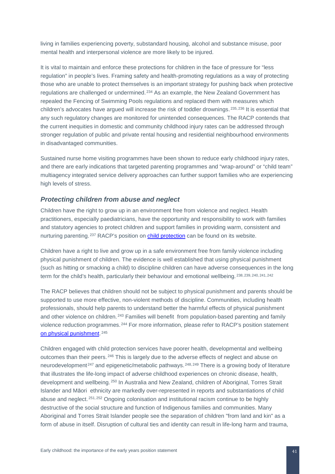living in families experiencing poverty, substandard housing, alcohol and substance misuse, poor mental health and interpersonal violence are more likely to be injured.

It is vital to maintain and enforce these protections for children in the face of pressure for "less regulation" in people's lives. Framing safety and health-promoting regulations as a way of protecting those who are unable to protect themselves is an important strategy for pushing back when protective regulations are challenged or undermined. [234](#page-53-145) As an example, the New Zealand Government has repealed the Fencing of Swimming Pools regulations and replaced them with measures which children's advocates have argued will increase the risk of toddler drownings. [235,](#page-53-146) [236](#page-53-29) It is essential that any such regulatory changes are monitored for unintended consequences. The RACP contends that the current inequities in domestic and community childhood injury rates can be addressed through stronger regulation of public and private rental housing and residential neighbourhood environments in disadvantaged communities.

Sustained nurse home visiting programmes have been shown to reduce early childhood injury rates, and there are early indications that targeted parenting programmes and "wrap-around" or "child team" multiagency integrated service delivery approaches can further support families who are experiencing high levels of stress.

#### <span id="page-41-0"></span>*Protecting children from abuse and neglect*

Children have the right to grow up in an environment free from violence and neglect. Health practitioners, especially paediatricians, have the opportunity and responsibility to work with families and statutory agencies to protect children and support families in providing warm, consistent and nurturing parenting. <sup>[237](#page-53-30)</sup> RACP's position on [child protection](https://www.racp.edu.au/docs/default-source/advocacy-library/pol-protecting-children-is-every-bodys-business.pdf) can be found on its website.

Children have a right to live and grow up in a safe environment free from family violence including physical punishment of children. The evidence is well established that using physical punishment (such as hitting or smacking a child) to discipline children can have adverse consequences in the long term for the child's health, particularly their behaviour and emotional wellbeing. [238](#page-53-53), [239,](#page-53-54) [240,](#page-53-55) [241](#page-53-147), [242](#page-53-148)

The RACP believes that children should not be subject to physical punishment and parents should be supported to use more effective, non-violent methods of discipline. Communities, including health professionals, should help parents to understand better the harmful effects of physical punishment and other violence on children. [243](#page-53-4) Families will benefit from population-based parenting and family violence reduction programmes. [244](#page-53-149) For more information, please refer to RACP's position statement [on physical punishment.](https://www.racp.edu.au/docs/default-source/default-document-library/physical-punishment-of-children.pdf) [245](#page-53-150)

Children engaged with child protection services have poorer health, developmental and wellbeing outcomes than their peers. <sup>[246](#page-53-133)</sup> This is largely due to the adverse effects of neglect and abuse on neurodevelopment [247](#page-53-151) and epigenetic/metabolic pathways. [248,](#page-53-35) [249](#page-53-36) There is a growing body of literature that illustrates the life-long impact of adverse childhood experiences on chronic disease, health, development and wellbeing. [250](#page-53-12) In Australia and New Zealand, children of Aboriginal, Torres Strait Islander and Māori ethnicity are markedly over-represented in reports and substantiations of child abuse and neglect. [251](#page-53-112), [252](#page-53-95) Ongoing colonisation and institutional racism continue to be highly destructive of the social structure and function of Indigenous families and communities. Many Aboriginal and Torres Strait Islander people see the separation of children "from land and kin" as a form of abuse in itself. Disruption of cultural ties and identity can result in life-long harm and trauma,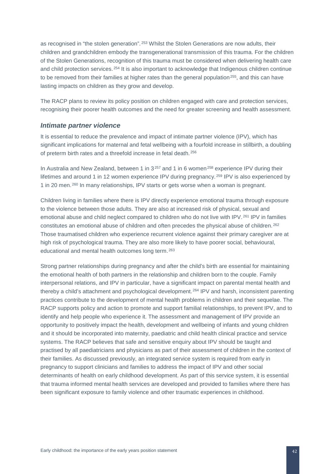as recognised in "the stolen generation". [253](#page-53-15) Whilst the Stolen Generations are now adults, their children and grandchildren embody the transgenerational transmission of this trauma. For the children of the Stolen Generations, recognition of this trauma must be considered when delivering health care and child protection services. <sup>[254](#page-53-152)</sup> It is also important to acknowledge that Indigenous children continue to be removed from their families at higher rates than the general population<sup>[255](#page-53-17)</sup>, and this can have lasting impacts on children as they grow and develop.

The RACP plans to review its policy position on children engaged with care and protection services, recognising their poorer health outcomes and the need for greater screening and health assessment.

#### <span id="page-42-0"></span>*Intimate partner violence*

It is essential to reduce the prevalence and impact of intimate partner violence (IPV), which has significant implications for maternal and fetal wellbeing with a fourfold increase in stillbirth, a doubling of preterm birth rates and a threefold increase in fetal death. [256](#page-53-97)

In Australia and New Zealand, between 1 in 3<sup>[257](#page-53-98)</sup> and 1 in 6 women<sup>[258](#page-53-99)</sup> experience IPV during their lifetimes and around 1 in 12 women experience IPV during pregnancy. [259](#page-53-139) IPV is also experienced by 1 in 20 men. [260](#page-53-140) In many relationships, IPV starts or gets worse when a woman is pregnant.

Children living in families where there is IPV directly experience emotional trauma through exposure to the violence between those adults. They are also at increased risk of physical, sexual and emotional abuse and child neglect compared to children who do not live with IPV.<sup>[261](#page-53-153)</sup> IPV in families constitutes an emotional abuse of children and often precedes the physical abuse of children. [262](#page-53-154) Those traumatised children who experience recurrent violence against their primary caregiver are at high risk of psychological trauma. They are also more likely to have poorer social, behavioural, educational and mental health outcomes long term. [263](#page-53-155)

Strong partner relationships during pregnancy and after the child's birth are essential for maintaining the emotional health of both partners in the relationship and children born to the couple. Family interpersonal relations, and IPV in particular, have a significant impact on parental mental health and thereby a child's attachment and psychological development.<sup>[264](#page-53-156)</sup> IPV and harsh, inconsistent parenting practices contribute to the development of mental health problems in children and their sequelae. The RACP supports policy and action to promote and support familial relationships, to prevent IPV, and to identify and help people who experience it. The assessment and management of IPV provide an opportunity to positively impact the health, development and wellbeing of infants and young children and it should be incorporated into maternity, paediatric and child health clinical practice and service systems. The RACP believes that safe and sensitive enquiry about IPV should be taught and practised by all paediatricians and physicians as part of their assessment of children in the context of their families. As discussed previously, an integrated service system is required from early in pregnancy to support clinicians and families to address the impact of IPV and other social determinants of health on early childhood development. As part of this service system, it is essential that trauma informed mental health services are developed and provided to families where there has been significant exposure to family violence and other traumatic experiences in childhood.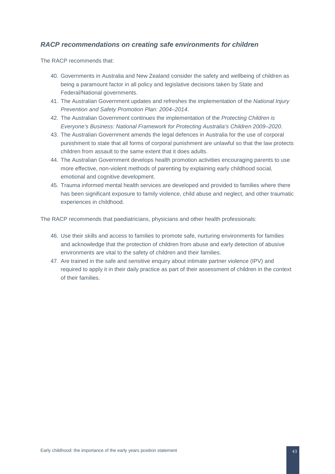#### <span id="page-43-0"></span>*RACP recommendations on creating safe environments for children*

The RACP recommends that:

- 40. Governments in Australia and New Zealand consider the safety and wellbeing of children as being a paramount factor in all policy and legislative decisions taken by State and Federal/National governments.
- 41. The Australian Government updates and refreshes the implementation of the *National Injury Prevention and Safety Promotion Plan: 2004–2014*.
- 42. The Australian Government continues the implementation of the *Protecting Children is Everyone's Business: National Framework for Protecting Australia's Children 2009–2020*.
- 43. The Australian Government amends the legal defences in Australia for the use of corporal punishment to state that all forms of corporal punishment are unlawful so that the law protects children from assault to the same extent that it does adults.
- 44. The Australian Government develops health promotion activities encouraging parents to use more effective, non-violent methods of parenting by explaining early childhood social, emotional and cognitive development.
- 45. Trauma informed mental health services are developed and provided to families where there has been significant exposure to family violence, child abuse and neglect, and other traumatic experiences in childhood.

The RACP recommends that paediatricians, physicians and other health professionals:

- 46. Use their skills and access to families to promote safe, nurturing environments for families and acknowledge that the protection of children from abuse and early detection of abusive environments are vital to the safety of children and their families.
- 47. Are trained in the safe and sensitive enquiry about intimate partner violence (IPV) and required to apply it in their daily practice as part of their assessment of children in the context of their families.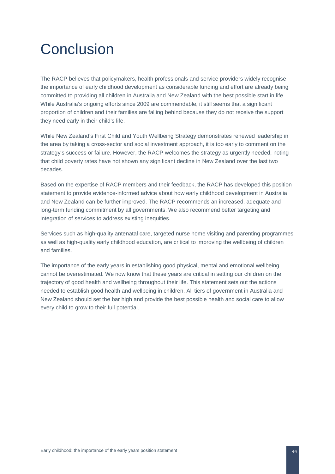## <span id="page-44-0"></span>**Conclusion**

The RACP believes that policymakers, health professionals and service providers widely recognise the importance of early childhood development as considerable funding and effort are already being committed to providing all children in Australia and New Zealand with the best possible start in life. While Australia's ongoing efforts since 2009 are commendable, it still seems that a significant proportion of children and their families are falling behind because they do not receive the support they need early in their child's life.

While New Zealand's First Child and Youth Wellbeing Strategy demonstrates renewed leadership in the area by taking a cross-sector and social investment approach, it is too early to comment on the strategy's success or failure. However, the RACP welcomes the strategy as urgently needed, noting that child poverty rates have not shown any significant decline in New Zealand over the last two decades.

Based on the expertise of RACP members and their feedback, the RACP has developed this position statement to provide evidence-informed advice about how early childhood development in Australia and New Zealand can be further improved. The RACP recommends an increased, adequate and long-term funding commitment by all governments. We also recommend better targeting and integration of services to address existing inequities.

Services such as high-quality antenatal care, targeted nurse home visiting and parenting programmes as well as high-quality early childhood education, are critical to improving the wellbeing of children and families.

The importance of the early years in establishing good physical, mental and emotional wellbeing cannot be overestimated. We now know that these years are critical in setting our children on the trajectory of good health and wellbeing throughout their life. This statement sets out the actions needed to establish good health and wellbeing in children. All tiers of government in Australia and New Zealand should set the bar high and provide the best possible health and social care to allow every child to grow to their full potential.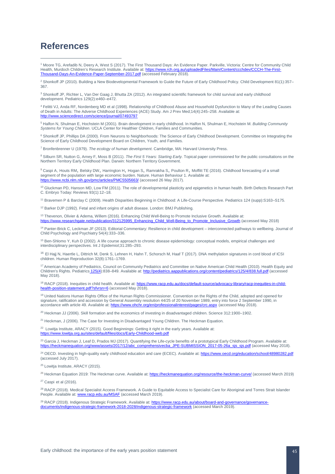## <span id="page-45-0"></span>**References**

 $\overline{a}$ 

<span id="page-45-1"></span><sup>1</sup> Moore TG, Arefadib N, Deery A, West S (2017). The First Thousand Days: An Evidence Paper. Parkville, Victoria: Centre for Community Child Health, Murdoch Children's Research Institute. Available at: [https://www.rch.org.au/uploadedFiles/Main/Content/ccchdev/CCCH-The-First-](https://www.rch.org.au/uploadedFiles/Main/Content/ccchdev/CCCH-The-First-Thousand-Days-An-Evidence-Paper-September-2017.pdf)[Thousand-Days-An-Evidence-Paper-September-2017.pdf](https://www.rch.org.au/uploadedFiles/Main/Content/ccchdev/CCCH-The-First-Thousand-Days-An-Evidence-Paper-September-2017.pdf) (accessed February 2018).

<span id="page-45-2"></span><sup>2</sup> Shonkoff JP (2010). Building a New Biodevelopmental Framework to Guide the Future of Early Childhood Policy. Child Development 81(1):357-367.

<span id="page-45-3"></span><sup>3</sup> Shonkoff JP, Richter L, Van Der Gaag J, Bhutta ZA (2012). An integrated scientific framework for child survival and early childhood development. Pediatrics 129(2):e460–e472.

<span id="page-45-4"></span><sup>4</sup> Felitti VJ, Anda RF, Nordenberg MD et al (1998). Relationship of Childhood Abuse and Household Dysfunction to Many of the Leading Causes of Death in Adults: The Adverse Childhood Experiences (ACE) Study. Am J Prev Med;14(4):245–258. Available at: <http://www.sciencedirect.com/science/journal/07493797>

<span id="page-45-5"></span><sup>5</sup> Halfon N, Shulman E, Hochstein M (2001). Brain development in early childhood. In Halfon N, Shulman E, Hochstein M. *Building Community Systems for Young Children*. UCLA Center for Healthier Children, Families and Communities.

<span id="page-45-6"></span><sup>6</sup> Shonkoff JP, Phillips DA (2000). From Neurons to Neighborhoods: The Science of Early Childhood Development. Committee on Integrating the Science of Early Childhood Development Board on Children, Youth, and Families.

<span id="page-45-7"></span><sup>7</sup> Bronfenbrenner U (1979). *The ecology of human development*. Cambridge, MA: Harvard University Press.

<span id="page-45-8"></span><sup>8</sup> Silburn SR, Nutton G, Arney F, Moss B (2011). *The First 5 Years: Starting Early.* Topical paper commissioned for the public consultations on the Northern Territory Early Childhood Plan. Darwin: Northern Territory Government.

<span id="page-45-9"></span><sup>9</sup> Caspi A, Houts RM, Belsky DW, Harrington H, Hogan S, Ramrakha S, Poulton R, Moffitt TE (2016). Childhood forecasting of a small segment of the population with large economic burden. Nature. Human Behaviour 1. Available at: <https://www.ncbi.nlm.nih.gov/pmc/articles/PMC5505663/> (accessed 26 May 2017)

<sup>10</sup> Gluckman PD, Hanson MD, Low FM (2011). The role of developmental plasticity and epigenetics in human health. Birth Defects Research Part C. Embryo Today: Reviews 93(1):12–18.

<sup>11</sup> Bravemen P & Barclay C (2009). Health Disparities Beginning in Childhood: A Life-Course Perspective. Pediatrics 124 (supp):S163–S175.

<sup>12</sup> Barker DJP (1992). Fetal and infant origins of adult disease. London: BMJ Publishing.

<sup>13</sup> Thevenon, Olivier & Adema, Willem (2016). Enhancing Child Well-Being to Promote Inclusive Growth. Available at:<br>https://www.researchgate.net/publication/312125995. Enhancing Child Well-Being to Promote Inclusive Growt hancing Child Well-Being to Promote Inclusive Growth (accessed May 2018)

<sup>14</sup> Panter-Brick C, Leckman JF (2013). Editorial Commentary: Resilience in child development – interconnected pathways to wellbeing. Journal of Child Psychology and Psychiatry 54(4):333–336.

<sup>15</sup> Ben-Shlomo Y, Kuh D (2002). A life course approach to chronic disease epidemiology: conceptual models, empirical challenges and interdisciplinary perspectives. Int J Epidemiol;31:285–293.

<sup>16</sup> [El Hajj](javascript:;) N[, Haertle](javascript:;) L, [Dittrich](javascript:;) M[, Denk](javascript:;) S[, Lehnen](javascript:;) H, Hahn T[, Schorsch](javascript:;) M, [Haaf](javascript:;) T (2017). DNA methylation signatures in cord blood of ICSI children. Human Reproduction 32(8):1761–1769.

<sup>17</sup> American Academy of Pediatrics, Council on Community Pediatrics and Committee on Native American Child Health (2010). Health Equity and Children's Rights[. Pediatrics](http://pediatrics.aappublications.org/) 125(4):838–849. Available at[: http://pediatrics.aappublications.org/content/pediatrics/125/4/838.full.pdf](http://pediatrics.aappublications.org/content/pediatrics/125/4/838.full.pdf) (accessed May 2018).

<sup>18</sup> RACP (2018). Inequities in child health. Available at[: https://www.racp.edu.au/docs/default-source/advocacy-library/racp-inequities-in-child](https://www.racp.edu.au/docs/default-source/advocacy-library/racp-inequities-in-child-health-position-statement.pdf?sfvrsn=6)[health-position-statement.pdf?sfvrsn=6](https://www.racp.edu.au/docs/default-source/advocacy-library/racp-inequities-in-child-health-position-statement.pdf?sfvrsn=6) (accessed May 2018).

<sup>19</sup> United Nations Human Rights Office of the Human Rights Commissioner. Convention on the Rights of the Child, adopted and opened for signature, ratification and accession by General Assembly resolution 44/25 of 20 November 1989, entry into force 2 September 1990, in accordance with article 49. Available at:<https://www.ohchr.org/en/professionalinterest/pages/crc.aspx> (accessed May 2018).

 $20$  Heckman JJ (2006). Skill formation and the economics of investing in disadvantaged children. Science 312:1900–1902.

<sup>21</sup> Heckman, J (2006). The Case for Investing in Disadvantaged Young Children. The Heckman Equation.

<sup>22</sup> Lowitja Institute, ARACY (2015). Good Beginnings: Getting it right in the early years. Available at: <https://www.lowitja.org.au/sites/default/files/docs/Early-Childhood-web.pdf>

<sup>23</sup> Garcia J, Heckman J, Leaf D, Prados MJ (2017). Quantifying the Life-cycle benefits of a prototypical Early Childhood Program. Available at: [https://heckmanequation.org/www/assets/2017/12/abc\\_comprehensivecba\\_JPE-SUBMISSION\\_2017-05-26a\\_sjs\\_sjs.pdf](https://heckmanequation.org/www/assets/2017/12/abc_comprehensivecba_JPE-SUBMISSION_2017-05-26a_sjs_sjs.pdf) (accessed May 2018).

<sup>24</sup> OECD. Investing in high-quality early childhood education and care (ECEC). Available at:<https://www.oecd.org/education/school/48980282.pdf> (accessed July 2017).

<sup>25</sup> Lowitja Institute, ARACY (2015).

<sup>26</sup> Heckman Equation 2019: The Heckman curve. Available at: <https://heckmanequation.org/resource/the-heckman-curve/> (accessed March 2019) <sup>27</sup> Caspi et al (2016).

<sup>28</sup> RACP (2018). Medical Specialist Access Framework. A Guide to Equitable Access to Specialist Care for Aboriginal and Torres Strait Islander People. Available at: **[www.racp.edu.au/MSAF](http://www.racp.edu.au/MSAF)** (accessed March 2019).

<sup>29</sup> RACP (2018). Indigenous Strategic Framework. Available at[: https://www.racp.edu.au/about/board-and-governance/governance](https://www.racp.edu.au/about/board-and-governance/governance-documents/indigenous-strategic-framework-2018-2028/indigenous-strategic-framework)[documents/indigenous-strategic-framework-2018-2028/indigenous-strategic-framework](https://www.racp.edu.au/about/board-and-governance/governance-documents/indigenous-strategic-framework-2018-2028/indigenous-strategic-framework) (accessed March 2019).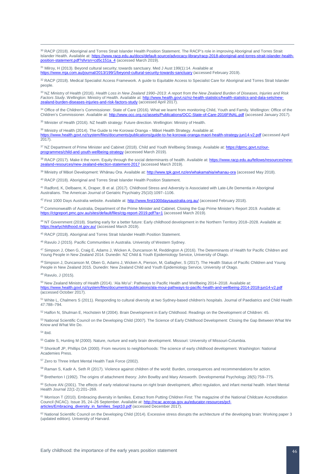30 RACP (2018). Aboriginal and Torres Strait Islander Health Position Statement. The RACP's role in improving Aboriginal and Torres Strait Islander Health. Available at[: https://www.racp.edu.au/docs/default-source/advocacy-library/racp-2018-aboriginal-and-torres-strait-islander-health](https://www.racp.edu.au/docs/default-source/advocacy-library/racp-2018-aboriginal-and-torres-strait-islander-health-position-statement.pdf?sfvrsn=cd5c151a_4)[position-statement.pdf?sfvrsn=cd5c151a\\_4](https://www.racp.edu.au/docs/default-source/advocacy-library/racp-2018-aboriginal-and-torres-strait-islander-health-position-statement.pdf?sfvrsn=cd5c151a_4) (accessed March 2019).

<sup>31</sup> Milroy, H (2013). Beyond cultural security; towards sanctuary. Med J Aust 199(1):14. Available at <https://www.mja.com.au/journal/2013/199/1/beyond-cultural-security-towards-sanctuary> (accessed February 2019).

32 RACP (2018). Medical Specialist Access Framework. A guide to Equitable Access to Specialist Care for Aboriginal and Torres Strait Islander people.

<sup>33</sup> NZ Ministry of Health (2016). *Health Loss in New Zealand 1990–2013: A report from the New Zealand Burden of Diseases, Injuries and Risk <i>Factors Study.* Wellington: Ministry of Health. Available at: http://www.health *Factors Study*. Wellington: Ministry of Health. Available at: http://www.health.gov zes-injuries-and-risk-factors-study (accessed April 2017).

34 Office of the Children's Commissioner. State of Care (2016). What we learnt from monitoring Child, Youth and Family. Wellington: Office of the Children's Commissioner. Available at: <http://www.occ.org.nz/assets/Publications/OCC-State-of-Care-2016FINAL.pdf> (accessed January 2017).

35 Minister of Health (2016). NZ health strategy: Future direction. Wellington: Ministry of Health.

<sup>36</sup> Ministry of Health (2014). The Guide to He Korowai Oranga – Māori Health Strategy. Available at: https://www.health.gov.nz/system/files/documents/publications/quide-to-he-korowai-oranga-maori-health-strategy-jun14-v2.pdf (accessed April 2017).

37 NZ Department of Prime Minister and Cabinet (2018). Child and Youth Wellbeing Strategy. Available at[: https://dpmc.govt.nz/our](https://dpmc.govt.nz/our-programmes/child-and-youth-wellbeing-strategy)[programmes/child-and-youth-wellbeing-strategy](https://dpmc.govt.nz/our-programmes/child-and-youth-wellbeing-strategy) (accessed March 2019).

38 RACP (2017). Make it the norm. Equity through the social determinants of health. Available at[: https://www.racp.edu.au/fellows/resources/new](https://www.racp.edu.au/fellows/resources/new-zealand-resources/new-zealand-election-statement-2017)[zealand-resources/new-zealand-election-statement-2017](https://www.racp.edu.au/fellows/resources/new-zealand-resources/new-zealand-election-statement-2017) (accessed March 2019).

39 Ministry of Māori Development: Whānau Ora. Available at: <http://www.tpk.govt.nz/en/whakamahia/whanau-ora> (accessed May 2018).

<sup>40</sup> RACP (2018). Aboriginal and Torres Strait Islander Health Position Statement.

<span id="page-46-0"></span><sup>41</sup> Radford, K, Delbaere, K, Draper, B et al. (2017). Childhood Stress and Adversity is Associated with Late-Life Dementia in Aboriginal Australians[. The American Journal of Geriatric Psychiatry](http://www.sciencedirect.com/science/journal/10647481) 25(10):1097–1106.

<span id="page-46-1"></span><sup>42</sup> First 1000 Days Australia website. Available at: <http://www.first1000daysaustralia.org.au/> (accessed February 2018).

<span id="page-46-2"></span>43 Commonwealth of Australia, Department of the Prime Minister and Cabinet. Closing the Gap Prime Minister's Report 2019. Available at: <https://ctgreport.pmc.gov.au/sites/default/files/ctg-report-2019.pdf?a=1> (accessed March 2019).

<span id="page-46-3"></span><sup>44</sup> NT Government (2018). Starting early for a better future: Early childhood development in the Northern Territory 2018–2028. Available at:<br>https://earlychildhood.nt.gov.au/ (accessed March 2019). earlychildhood.nt.gov.au/ (accessed March 2019).

<span id="page-46-4"></span><sup>45</sup> RACP (2018). Aboriginal and Torres Strait Islander Health Position Statement.

<sup>46</sup> Ravulo J (2015). Pacific Communities in Australia. University of Western Sydney.

47 Simpson J, Oben G, Craig E, Adams J, Wicken A, Duncanson M, Reddington A (2016). The Determinants of Health for Pacific Children and Young People in New Zealand 2014. Dunedin: NZ Child & Youth Epidemiology Service, University of Otago.

48 Simpson J, Duncanson M, Oben G, Adams J, Wicken A, Pierson, M, Gallagher, S (2017). The Health Status of Pacific Children and Young People in New Zealand 2015. Dunedin: New Zealand Child and Youth Epidemiology Service, University of Otago.

<sup>49</sup> Ravulo, J (2015).

<sup>50</sup> New Zealand Ministry of Health (2014). 'Ala Mo'ui': Pathways to Pacific Health and Wellbeing 2014–2018. Available at: <https://www.health.govt.nz/system/files/documents/publications/ala-moui-pathways-to-pacific-health-and-wellbeing-2014-2018-jun14-v2.pdf> (accessed October 2017).

<sup>51</sup> White L, Chalmers S (2011). Responding to cultural diversity at two Sydney-based children's hospitals. Journal of Paediatrics and Child Health 47:788–794.

<sup>52</sup> Halfon N, Shulman E, Hochstein M (2004). Brain Development in Early Childhood. Readings on the Development of Children: 45.

<sup>53</sup> National Scientific Council on the Developing Child (2007). The Science of Early Childhood Development: Closing the Gap Between What We Know and What We Do.

<sup>54</sup> ibid.

<sup>55</sup> Gable S, Hunting M (2000). Nature, nurture and early brain development. Missouri: University of Missouri-Columbia.

<sup>56</sup> Shonkoff JP, Phillips DA (2000). From neurons to neighborhoods: The science of early childhood development. Washington: National Academies Press.

<sup>57</sup> Zero to Three Infant Mental Health Task Force (2002).

58 Raman S, Kadir A, Seth R (2017). Violence against children of the world: Burden, consequences and recommendations for action.

<sup>59</sup> Bretherton I (1992). The origins of attachment theory: John Bowlby and Mary Ainsworth. Developmental Psychology 28(5):759–775.

60 Schore AN (2001). The effects of early relational trauma on right brain development, affect regulation, and infant mental health. Infant Mental Health Journal 22(1-2):201–269.

<sup>61</sup> Morrison T (2010). Embracing diversity in families. Extract from Putting Children First: The magazine of the National Childcare Accreditation Council (NCAC). Issue 35, 24-26 September. Available at: [http://ncac.acecqa.gov.au/educator-resources/pcf](http://ncac.acecqa.gov.au/educator-resources/pcf-articles/Embracing_diversity_in_families_Sept10.pdf)[articles/Embracing\\_diversity\\_in\\_families\\_Sept10.pdf](http://ncac.acecqa.gov.au/educator-resources/pcf-articles/Embracing_diversity_in_families_Sept10.pdf) (accessed December 2017).

<sup>62</sup> National Scientific Council on the Developing Child (2014). Excessive stress disrupts the architecture of the developing brain: Working paper 3 (updated edition). University of Harvard.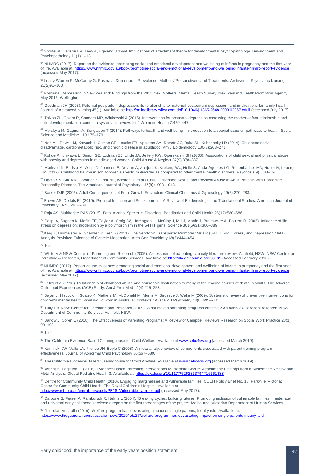63 [Sroufe](https://www.cambridge.org/core/search?filters%5BauthorTerms%5D=L.%20ALAN%20SROUFE&eventCode=SE-AU) IA[, Carlson](https://www.cambridge.org/core/search?filters%5BauthorTerms%5D=ELIZABETH%20A.%20CARLSON&eventCode=SE-AU) EA[, Levy](https://www.cambridge.org/core/search?filters%5BauthorTerms%5D=ALISSA%20K.%20LEVY&eventCode=SE-AU) A, [Egeland](https://www.cambridge.org/core/search?filters%5BauthorTerms%5D=BYRON%20EGELAND&eventCode=SE-AU) B 1999. Implications of attachment theory for developmental psychopathology. Development and Psychopathology [11\(](https://www.cambridge.org/core/journals/development-and-psychopathology/volume/CE326DDC7BD32CA7148E802359B76FE8)1):1–13.

<sup>64</sup> NHMRC (2017). Report on the evidence: promoting social and emotional development and wellbeing of infants in pregnancy and the first year of life. Available at[: https://www.nhmrc.gov.au/book/promoting-social-and-emotional-development-and-wellbeing-infants-nhmrc-report-evidence](https://www.nhmrc.gov.au/book/promoting-social-and-emotional-development-and-wellbeing-infants-nhmrc-report-evidence) (accessed May 2017).

<sup>65</sup> Leahy-Warren P, McCarthy G. Postnatal Depression: Prevalence, Mothers' Perspectives, and Treatments. Archives of Psychiatric Nursing  $21(2)91-100$ .

<sup>66</sup> Postnatal Depression in New Zealand: Findings from the 2015 New Mothers' Mental Health Survey. New Zealand Health Promotion Agency. May 2016. Wellington.

<sup>67</sup> Goodman JH (2003). Paternal postpartum depression, its relationship to maternal postpartum depression, and implications for family health. Journal of Advanced Nursing 45(1). Available at: <http://onlinelibrary.wiley.com/doi/10.1046/j.1365-2648.2003.02857.x/full> (accessed July 2017).

68 Tsivos ZL, Calam R, Sanders MR, Wittkowski A (2015). Interventions for postnatal depression assessing the mother-infant relationship and child developmental outcomes: a systematic review. Int J Womens Health [7:4](https://www.dovepress.com/international-journal-of-womens-health-archive45-v857)29–447.

<sup>69</sup> Myrskyla M, Gagnon A, Bengtsson T (2014). Pathways to health and well-being – Introduction to a special issue on pathways to health. Social Science and Medicine 119:175–179.

<sup>70</sup> Non AL, Rewak M, Kawachi I, Gilman SE, Loucks EB, Appleton AA, Román JC, Buka SL, Kubzansky LD (2014). Childhood social disadvantage, cardiometabolic risk, and chronic disease in adulthood. Am J Epidemiology 180(3):263–271.

<sup>71</sup> Rohde P, Ichikawa L, Simon GE, Ludman EJ, Linde JA, Jeffery RW, Operskalski BH (2008). Associations of child sexual and physical abuse with obesity and depression in middle-aged women. Child Abuse & Neglect 32(9):878–887.

<sup>72</sup> Mørkved N, Endsjø M, Winje D, Johnsen E, Dovran A, Arefjord K, Kroken, RA., Helle S, Anda-Ågotnes LG, Rettenbacher MA, Huber N, Løberg EM (2017). [Childhood trauma in schizophrenia spectrum disorder as compared to other mental health disorders.](http://www.tandfonline.com/doi/abs/10.1080/17522439.2016.1201135) [Psychosis 9](http://www.tandfonline.com/toc/rpsy20/9/1)(1):48–59.

73 Ogata SN, Silk KR, Goodrich S, Lohr NE, Westen, D et al (1990). Childhood Sexual and Physical Abuse in Adult Patients with Borderline Personality Disorder. The American Journal of Psychiatry 147(8):1008-1013.

<sup>74</sup> Barker DJP (2006). Adult Consequences of Fetal Growth Restriction. Clinical Obstetrics & Gynecology [49\(2\):270–283.](http://journals.lww.com/clinicalobgyn/toc/2006/06000)

<sup>75</sup> Brown AS, Derkits EJ (2010). [Prenatal Infection and Schizophrenia: A Review of Epidemiologic and Translational Studies.](http://ajp.psychiatryonline.org/doi/abs/10.1176/appi.ajp.2009.09030361) American Journal of Psychiatry 167:3:261–280.

<sup>76</sup> Raja AS, Mukherjee RAS (2015). Fetal Alcohol Spectrum Disorders. [Paediatrics and Child Health](http://www.sciencedirect.com/science/journal/17517222) [25\(12\)](http://www.sciencedirect.com/science/journal/17517222/25/12):580–586.

<sup>77</sup> Caspi A, Sugden K, Moffitt TE, Taylor A, Craig IW, Harrington H, McClay J, Mill J, Martin J, Braithwaite A, Poulton R (2003). Influence of life stress on depression: moderation by a polymorphism in the 5-HTT gene. Science 301(5631):386–389.

<sup>78</sup> Karg K, Burmeister M, Shedden K, Sen S (2011). The Serotonin Transporter Promoter Variant (5-HTTLPR), Stress, and Depression Meta-Analysis Revisited Evidence of Genetic Moderation. Arch Gen Psychiatry 68(5):444–454.

<span id="page-47-0"></span><sup>79</sup> ibid.

<span id="page-47-1"></span>80 White A & NSW Centre for Parenting and Research (2005). Assessment of parenting capacity literature review. Ashfield, NSW: NSW Centre for Parenting & Research, Department of Community Services. Available at:<http://nla.gov.au/nla.arc-58139> (Accessed February 2018).

<span id="page-47-2"></span>81 NHMRC (2017). Report on the evidence: promoting social and emotional development and wellbeing of infants in pregnancy and the first year of life. Available at: https://www.nhmrc.gov.au/book/promoting-social-and-emotional-development-and-wellbeing-inj (accessed May 2017).

<span id="page-47-3"></span>82 Felitti et al (1998). Relationship of childhood abuse and household dysfunction to many of the leading causes of death in adults. The Adverse Childhood Experiences (ACE) Study. Am J Prev Med 14(4):245–258.

<span id="page-47-4"></span>83 Bayer J, Hiscock H, Scalzo K, Mathers M, McDonald M, Morris A, Birdseye J, Wake M (2009). Systematic review of preventive interventions for children's mental health: what would work in Australian contexts? Aust NZ J Psychiatry 43(8):695–710.

84 Tully L & NSW Centre for Parenting and Research (2009). What makes parenting programs effective? An overview of recent research. NSW Department of Community Services, Ashfield, NSW.

85 Barlow J, Coren E (2018). The Effectiveness of Parenting Programs: A Review of Campbell Reviews Research on Social Work Practice 28(1) 99–102.

<sup>86</sup> ibid.

87 The California Evidence-Based Clearinghouse for Child Welfare. Available a[t www.cebc4cw.org](https://www.cebc4cw.org/) (accessed March 2019).

88 Kaminski JW, Valle LA, Filence JH, Boyle C (2008). A meta-analytic review of components associated with parent training program effectiveness. Journal of Abnormal Child Psychology 36:567–589.

89 The California Evidence-Based Clearinghouse for Child Welfare. Available a[t www.cebc4cw.org](https://www.cebc4cw.org/) (accessed March 2019).

90 Wright B, Edginton, E (2016). Evidence-Based Parenting Interventions to Promote Secure Attachment: Findings from a Systematic Review and Meta-Analysis. Global Pediatric Health 3. Available at[: https://dx.doi.org/10.1177%2F2333794X16661888](https://dx.doi.org/10.1177%2F2333794X16661888)

91 Centre for Community Child Health (2010). Engaging marginalised and vulnerable families. CCCH Policy Brief No. 18. Parkville, Victoria: Centre for Community Child Health, The Royal Children's Hospital. Available at [http://www.rch.org.au/emplibrary/ccch/PB18\\_Vulnerable\\_families.pdf](http://www.rch.org.au/emplibrary/ccch/PB18_Vulnerable_families.pdf) (accessed May 2017).

92 Carbone S, Fraser A, Ramburuth R, Nelms L (2004). 'Breaking cycles, building futures. Promoting inclusion of vulnerable families in antenatal and universal early childhood services: a report on the first three stages of the project. Melbourne: Victorian Department of Human Services.

<sup>93</sup> Guardian Australia (2019). Welfare program has 'devastating' impact on single parents, inquiry told. Available at:<br>https://www.thequardian.com/australia-news/2019/feb/27/welfare-program-has-devastating-impact-on-singl https://www.theguardian.com/australia-news/2019/feb/27/welfare-program-has-de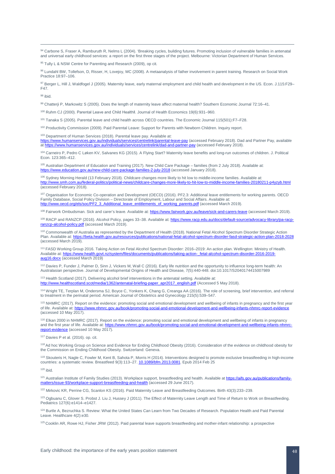94 Carbone S, Fraser A, Ramburuth R, Nelms L (2004). 'Breaking cycles, building futures. Promoting inclusion of vulnerable families in antenatal and universal early childhood services: a report on the first three stages of the project. Melbourne: Victorian Department of Human Services.

<sup>95</sup> Tully L & NSW Centre for Parenting and Research (2009), op cit.

96 Lundahl BW, Tollefson, D, Risser, H, Lovejoy, MC (2008). A metaanalysis of father involvement in parent training. Research on Social Work Practice 18:97–106.

97 Berger L, Hill J, Waldfogel J (2005). Maternity leave, early maternal employment and child health and development in the US. Econ. J.115:F29-F47.

<sup>98</sup> ibid.

99 Chatterji P, Markowitz S (2005). Does the length of maternity leave affect maternal health? Southern Economic Journal 72:16-41.

<sup>100</sup> Ruhm CJ (2000). Parental Leave and Child Health‖. Journal of Health Economics 19(6):931–960.

<sup>101</sup> Tanaka S (2005). Parental leave and child health across OECD countries. The Economic Journal 115(501):F7–F28.

<sup>102</sup> Productivity Commission (2009). Paid Parental Leave: Support for Parents with Newborn Children. Inquiry report.

<sup>103</sup> Department of Human Services (2018). Parental leave pay. Available at:

<https://www.humanservices.gov.au/individuals/services/centrelink/parental-leave-pay> (accessed February 2018). Dad and Partner Pay, available at<https://www.humanservices.gov.au/individuals/services/centrelink/dad-and-partner-pay> (accessed February 2018).

<sup>104</sup> Carneiro P, Pedro C Løken KV, Salvanes KG (2015). A Flying Start? Maternity leave benefits and long-run outcomes of children. J. Political Econ. 123:365–412.

<sup>105</sup> Australian Department of Education and Training (2017). New Child Care Package – families (from 2 July 2018). Available at:<br>https://www.education.gov.au/new-child-care-package-families-2-july-2018 (accessed January 2 tion.gov.au/new-child-care-package-families-2-july-2018 (accessed January 2018).

106 Sydney Morning Herald (13 February 2018). Childcare changes more likely to hit low to middle-income families. Available at: <http://www.smh.com.au/federal-politics/political-news/childcare-changes-more-likely-to-hit-low-to-middle-income-families-20180211-p4yzyb.html> (accessed February 2018).

107 Organisation for Economic Co-operation and Development (OECD) (2016). PF2.3: Additional leave entitlements for working parents. OECD Family Database, Social Policy Division – Directorate of Employment, Labour and Social Affairs. Available at: [http://www.oecd.org/els/soc/PF2\\_3\\_Additional\\_leave\\_entitlements\\_of\\_working\\_parents.pdf](http://www.oecd.org/els/soc/PF2_3_Additional_leave_entitlements_of_working_parents.pdf) (accessed March 2019).

108 Fairwork Ombudsman. Sick and carer's leave. Available at: <https://www.fairwork.gov.au/leave/sick-and-carers-leave> (accessed March 2019).

109 RACP and RANZCP (2016). Alcohol Policy, pages 33-38. Available at[: https://www.racp.edu.au/docs/default-source/advocacy-library/pa-racp](https://www.racp.edu.au/docs/default-source/advocacy-library/pa-racp-ranzcp-alcohol-policy.pdf)[ranzcp-alcohol-policy.pdf](https://www.racp.edu.au/docs/default-source/advocacy-library/pa-racp-ranzcp-alcohol-policy.pdf) (accessed March 2019).

<sup>110</sup> Commonwealth of Australia as represented by the Department of Health (2018). National Fetal Alcohol Spectrum Disorder Strategic Action Plan. Available at:<https://beta.health.gov.au/resources/publications/national-fetal-alcohol-spectrum-disorder-fasd-strategic-action-plan-2018-2028> (accessed March 2019).

<sup>111</sup> FASD Working Group 2016. Taking Action on Fetal Alcohol Spectrum Disorder: 2016–2019: An action plan. Wellington: Ministry of Health. Available at[: https://www.health.govt.nz/system/files/documents/publications/taking-action-\\_fetal-alcohol-spectrum-disorder-2016-2019](https://www.health.govt.nz/system/files/documents/publications/taking-action-_fetal-alcohol-spectrum-disorder-2016-2019-aug16.docx) [aug16.docx](https://www.health.govt.nz/system/files/documents/publications/taking-action-_fetal-alcohol-spectrum-disorder-2016-2019-aug16.docx) (accessed March 2019)

112 Davies P, Funder J, Palmer D, Sinn J, Vickers M, Wall C (2016). Early life nutrition and the opportunity to influence long-term health: An Australasian perspective. Journal of Developmental Origins of Health and Disease*,* 7(5):440-448. doi:10.1017/S2040174415007989

<sup>113</sup> Health Scotland (2017). Delivering alcohol brief interventions in the antenatal setting. Available at: [http://www.healthscotland.scot/media/1362/antenatal-briefing-paper\\_apr2017\\_english.pdf](http://www.healthscotland.scot/media/1362/antenatal-briefing-paper_apr2017_english.pdf) (Accessed 5 May 2018).

<sup>114</sup> Wright TE, Terplan M, Ondersma SJ, Boyce C, Yonkers K, Chang G, Creanga AA (2016). The role of screening, brief intervention, and referral to treatment in the perinatal period. American Journal of Obstetrics and Gynecology 215(5):539–547.

<sup>115</sup> NHMRC (2017). Report on the evidence: promoting social and emotional development and wellbeing of infants in pregnancy and the first year of life. Available at[: https://www.nhmrc.gov.au/book/promoting-social-and-emotional-development-and-wellbeing-infants-nhmrc-report-evidence](https://www.nhmrc.gov.au/book/promoting-social-and-emotional-development-and-wellbeing-infants-nhmrc-report-evidence) (accessed 10 May 2017).

<span id="page-48-1"></span><span id="page-48-0"></span><sup>116</sup> Elkan 2000 in NHMRC (2017). Report on the evidence: promoting social and emotional development and wellbeing of infants in pregnancy and the first year of life. Available at: https://www.nhmrc.gov.au/book/promoting-social-and-emotional-development-and-wellbeing-infants-nhmrc [report-evidence](https://www.nhmrc.gov.au/book/promoting-social-and-emotional-development-and-wellbeing-infants-nhmrc-report-evidence) (accessed 10 May 2017).

<span id="page-48-2"></span>117 Davies P et al. (2016). op. cit.

<span id="page-48-3"></span>118 Ad hoc Working Group on Science and Evidence for Ending Childhood Obesity (2016). Consideration of the evidence on childhood obesity for the Commission on Ending Childhood Obesity. Switzerland: Geneva.

<span id="page-48-4"></span><sup>119</sup> [Skouteris H,](https://www.ncbi.nlm.nih.gov/pubmed/?term=Skouteris%20H%5BAuthor%5D&cauthor=true&cauthor_uid=24568270) [Nagle C,](https://www.ncbi.nlm.nih.gov/pubmed/?term=Nagle%20C%5BAuthor%5D&cauthor=true&cauthor_uid=24568270) [Fowler M,](https://www.ncbi.nlm.nih.gov/pubmed/?term=Fowler%20M%5BAuthor%5D&cauthor=true&cauthor_uid=24568270) [Kent B,](https://www.ncbi.nlm.nih.gov/pubmed/?term=Kent%20B%5BAuthor%5D&cauthor=true&cauthor_uid=24568270) [Sahota P,](https://www.ncbi.nlm.nih.gov/pubmed/?term=Sahota%20P%5BAuthor%5D&cauthor=true&cauthor_uid=24568270) [Morris H](https://www.ncbi.nlm.nih.gov/pubmed/?term=Morris%20H%5BAuthor%5D&cauthor=true&cauthor_uid=24568270) (2014). Interventions designed to promote exclusive breastfeeding in high-income countries: a systematic review. Breastfeed 9(3):113–27[. 10.1089/bfm.2013.0081.](https://doi.org/10.1089/bfm.2013.0081) Epub 2014 Feb 25

<span id="page-48-5"></span> $120$  ibid.

<span id="page-48-6"></span><sup>121</sup> Australian Institute of Family Studies (2013). Workplace support, breastfeeding and health. Available a[t https://aifs.gov.au/publications/family](https://aifs.gov.au/publications/family-matters/issue-93/workplace-support-breastfeeding-and-health)[matters/issue-93/workplace-support-breastfeeding-and-health](https://aifs.gov.au/publications/family-matters/issue-93/workplace-support-breastfeeding-and-health) (accessed 29 June 2017).

<sup>122</sup> Mirkovic KR, Perrine CG, Scanlon KS (2016). Paid Maternity Leave and Breastfeeding Outcomes. Birth 43(3):233–239.

<sup>123</sup> [Ogbuanu](https://www.ncbi.nlm.nih.gov/pubmed/?term=Ogbuanu%20C%5BAuthor%5D&cauthor=true&cauthor_uid=21624878) C[, Glover](https://www.ncbi.nlm.nih.gov/pubmed/?term=Glover%20S%5BAuthor%5D&cauthor=true&cauthor_uid=21624878) S, Probst J, [Liu](https://www.ncbi.nlm.nih.gov/pubmed/?term=Liu%20J%5BAuthor%5D&cauthor=true&cauthor_uid=21624878) J, [Hussey](https://www.ncbi.nlm.nih.gov/pubmed/?term=Hussey%20J%5BAuthor%5D&cauthor=true&cauthor_uid=21624878) J (2011). The Effect of Maternity Leave Length and Time of Return to Work on Breastfeeding. Pediatrics 127(6):e1414–e1427.

<sup>124</sup> Burtle A, Bezruchka S. Review: What the United States Can Learn from Two Decades of Research. Population Health and Paid Parental Leave. Healthcare 4(2):e30.

<sup>125</sup> Cooklin AR, [Rowe](https://onlinelibrary.wiley.com/action/doSearch?ContribAuthorStored=Rowe%2C+Heather+J) HJ, [Fisher](https://onlinelibrary.wiley.com/action/doSearch?ContribAuthorStored=Fisher%2C+Jane+RW) JRW (2012). Paid parental leave supports breastfeeding and mother-infant relationship: a prospective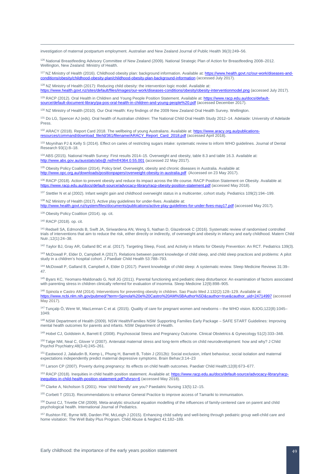<span id="page-49-3"></span>investigation of maternal postpartum employment. Australian and New Zealand Journal of Public Health 36(3):249–56.

<sup>126</sup> National Breastfeeding Advisory Committee of New Zealand (2009). National Strategic Plan of Action for Breastfeeding 2008–2012. Wellington, New Zealand: Ministry of Health.

<span id="page-49-4"></span><sup>127</sup> NZ Ministry of Health (2016). Childhood obesity plan: background information. Available at[: https://www.health.govt.nz/our-work/diseases-and](https://www.health.govt.nz/our-work/diseases-and-conditions/obesity/childhood-obesity-plan/childhood-obesity-plan-background-information)[conditions/obesity/childhood-obesity-plan/childhood-obesity-plan-background-information](https://www.health.govt.nz/our-work/diseases-and-conditions/obesity/childhood-obesity-plan/childhood-obesity-plan-background-information) (accessed July 2017).

<span id="page-49-5"></span>128 NZ Ministry of Health (2017): Reducing child obesity: the intervention logic model. Available at: <https://www.health.govt.nz/sites/default/files/images/our-work/diseases-conditions/obesity/obesity-interventionmodel.png> (accessed July 2017).

<sup>129</sup> RACP (2012). Oral Health in Children and Young People Position Statement. Available at[: https://www.racp.edu.au/docs/default](https://www.racp.edu.au/docs/default-source/default-document-library/pa-pos-oral-health-in-children-and-young-people%20.pdf)[source/default-document-library/pa-pos-oral-health-in-children-and-young-people%20.pdf](https://www.racp.edu.au/docs/default-source/default-document-library/pa-pos-oral-health-in-children-and-young-people%20.pdf) (accessed December 2017).

<sup>130</sup> NZ Ministry of Health (2010). Our Oral Health: Key findings of the 2009 New Zealand Oral Health Survey. Wellington.

131 Do LG, Spencer AJ (eds). Oral health of Australian children: The National Child Oral Health Study 2012-14. Adelaide: University of Adelaide Press.

132 ARACY (2018). Report Card 2018. The wellbeing of young Australians. Available at[: https://www.aracy.org.au/publications](https://www.aracy.org.au/publications-resources/command/download_file/id/361/filename/ARACY_Report_Card_2018.pdf)[resources/command/download\\_file/id/361/filename/ARACY\\_Report\\_Card\\_2018.pdf](https://www.aracy.org.au/publications-resources/command/download_file/id/361/filename/ARACY_Report_Card_2018.pdf) (accessed April 2018).

133 Moynihan PJ & Kelly S (2014). Effect on caries of restricting sugars intake: systematic review to inform WHO guidelines. Journal of Dental Research 93(1):8–18.

<sup>134</sup> ABS (2015). National Health Survey: First results 2014–15. Overweight and obesity, table 8.3 and table 16.3. Available at: <http://www.abs.gov.au/ausstats/abs@.nsf/mf/4364.0.55.001> (accessed 22 May 2017).

135 Obesity Policy Coalition (2014). Policy brief. Overweight, obesity and chronic diseases in Australia. Available at: <http://www.opc.org.au/downloads/positionpapers/overweight-obesity-in-australia.pdf>(Accessed on 23 May 2017).

136 RACP (2018). Action to prevent obesity and reduce its impact across the life course. RACP Position Statement on Obesity. Available at: <https://www.racp.edu.au/docs/default-source/advocacy-library/racp-obesity-position-statement.pdf> (accessed May 2018).

<sup>137</sup> Stettler N et al (2002). Infant weight gain and childhood overweight status in a multicenter, cohort study. Pediatrics 109(2):194–199.

138 NZ Ministry of Health (2017). Active play guidelines for under-fives. Available at:

<http://www.health.govt.nz/system/files/documents/publications/active-play-guidelines-for-under-fives-may17.pdf> (accessed May 2017).

<sup>139</sup> Obesity Policy Coalition (2014), op. cit.

<sup>140</sup> RACP (2018). op. cit.

 $\overline{a}$ 

<sup>141</sup> [Redsell SA,](https://www.ncbi.nlm.nih.gov/pubmed/?term=Redsell%20SA%5BAuthor%5D&cauthor=true&cauthor_uid=25894857) [Edmonds B,](https://www.ncbi.nlm.nih.gov/pubmed/?term=Edmonds%20B%5BAuthor%5D&cauthor=true&cauthor_uid=25894857) [Swift JA,](https://www.ncbi.nlm.nih.gov/pubmed/?term=Swift%20JA%5BAuthor%5D&cauthor=true&cauthor_uid=25894857) [Siriwardena AN,](https://www.ncbi.nlm.nih.gov/pubmed/?term=Siriwardena%20AN%5BAuthor%5D&cauthor=true&cauthor_uid=25894857) [Weng S,](https://www.ncbi.nlm.nih.gov/pubmed/?term=Weng%20S%5BAuthor%5D&cauthor=true&cauthor_uid=25894857) [Nathan D,](https://www.ncbi.nlm.nih.gov/pubmed/?term=Nathan%20D%5BAuthor%5D&cauthor=true&cauthor_uid=25894857) [Glazebrook C](https://www.ncbi.nlm.nih.gov/pubmed/?term=Glazebrook%20C%5BAuthor%5D&cauthor=true&cauthor_uid=25894857) (2016). Systematic review of randomised controlled trials of interventions that aim to reduce the risk, either directly or indirectly, of overweight and obesity in infancy and early childhood. Matern Child Nutr.;12(1):24–38.

<sup>142</sup> Taylor BJ, Gray AR, Galland BC et al. (2017). Targeting Sleep, Food, and Activity in Infants for Obesity Prevention: An RCT. Pediatrics 139(3).

143 McDowall P, Elder D, Campbell A (2017). Relations between parent knowledge of child sleep, and child sleep practices and problems: A pilot study in a children's hospital cohort. J Paediatr Child Health 53:788-793.

<sup>144</sup> McDowall P, Galland B, Campbell A, Elder D (2017). Parent knowledge of child sleep: A systematic review. Sleep Medicine Reviews 31:39– 47.

<sup>145</sup> Byars KC, Yeomans-Maldonado G, Noll JG (2011). Parental functioning and pediatric sleep disturbance: An examination of factors associated with parenting stress in children clinically referred for evaluation of insomnia[. Sleep Medicine](http://www.sciencedirect.com/science/journal/13899457) [12\(9\)](http://www.sciencedirect.com/science/journal/13899457/12/9):898–905.

<sup>146</sup> Spinola e Castro AM (2014). Interventions for preventing obesity in children. Sao Paulo Med J.132(2):128–129. Available at: [https://www.ncbi.nlm.nih.gov/pubmed/?term=Spinola%20e%20Castro%20AM%5BAuthor%5D&cauthor=true&cauthor\\_uid=24714997](https://www.ncbi.nlm.nih.gov/pubmed/?term=Spinola%20e%20Castro%20AM%5BAuthor%5D&cauthor=true&cauthor_uid=24714997) (accessed May 2017).

<sup>147</sup> Tunçalp Ö, Were W, MacLennan C et al. (2015). Quality of care for pregnant women and newborns – the WHO vision. BJOG;122(8):1045– 1049.

<sup>148</sup> NSW Department of Health (2009). NSW Health/Families NSW Supporting Families Early Package – SAFE START Guidelines: Improving mental health outcomes for parents and infants. NSW Department of Health.

<sup>149</sup> Hobel CJ, Goldstein A, Barrett E (2008). Psychosocial Stress and Pregnancy Outcome. Clinical Obstetrics & Gynecology 51(2):333–348.

<sup>150</sup> [Talge NM,](https://www.ncbi.nlm.nih.gov/pubmed/?term=Talge%20NM%5BAuthor%5D&cauthor=true&cauthor_uid=17355398) [Neal C,](https://www.ncbi.nlm.nih.gov/pubmed/?term=Neal%20C%5BAuthor%5D&cauthor=true&cauthor_uid=17355398) [Glover V](https://www.ncbi.nlm.nih.gov/pubmed/?term=Glover%20V%5BAuthor%5D&cauthor=true&cauthor_uid=17355398) (2007). Antenatal maternal stress and long-term effects on child neurodevelopment: how and why? J Child Psychol Psychiatry;48(3-4):245–261.

<sup>151</sup> Eastwood J, Jalaludin B, Kemp L, Phung H, Barnett B, Tobin J (2012b): Social exclusion, infant behaviour, social isolation and maternal expectations independently predict maternal depressive symptoms. Brain Behav;3:14–23

<sup>152</sup> Larson CP (2007). Poverty during pregnancy: Its effects on child health outcomes. Paediatr [Child Health;1](https://www.ncbi.nlm.nih.gov/pmc/articles/PMC2528810/)2(8):673–677.

153 RACP (2018). Inequities in child health position statement. Available at[: https://www.racp.edu.au/docs/default-source/advocacy-library/racp](https://www.racp.edu.au/docs/default-source/advocacy-library/racp-inequities-in-child-health-position-statement.pdf?sfvrsn=6)inchild-health-position-statement.pdf?sfvrsn=6 (accessed May 2018).

<span id="page-49-1"></span><span id="page-49-0"></span><sup>154</sup> Clarke A, Nicholson S (2001). How 'child friendly' are you? Paedaitric Nursing 13(5):12–15.

<sup>155</sup> Corbett T (2013). Recommendations to enhance General Practice to improve access of Tamariki to immunisation.

<span id="page-49-2"></span><sup>156</sup> Dunst CJ, Trivette CM (2009). Meta-analytic structural equation modelling of the influences of family-centered care on parent and child psychological health. International Journal of Pediatrics.

<sup>157</sup> Rushton FE, Byrne WB, Darden PM, McLeigh J (2015). Enhancing child safety and well-being through pediatric group well-child care and home visitation: The Well Baby Plus Program. Child Abuse & Neglect 41:182–189.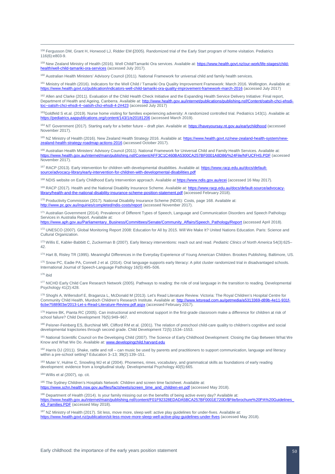158 [Fergusson DM,](https://www.ncbi.nlm.nih.gov/pubmed/?term=Fergusson%20DM%5BAuthor%5D&cauthor=true&cauthor_uid=16322138) [Grant H,](https://www.ncbi.nlm.nih.gov/pubmed/?term=Grant%20H%5BAuthor%5D&cauthor=true&cauthor_uid=16322138) [Horwood LJ,](https://www.ncbi.nlm.nih.gov/pubmed/?term=Horwood%20LJ%5BAuthor%5D&cauthor=true&cauthor_uid=16322138) [Ridder EM](https://www.ncbi.nlm.nih.gov/pubmed/?term=Ridder%20EM%5BAuthor%5D&cauthor=true&cauthor_uid=16322138) (2005). Randomized trial of the Early Start program of home visitation. Pediatrics 116(6):e803-9.

<sup>159</sup> New Zealand Ministry of Health (2016). Well Child/Tamariki Ora services. Available at: [https://www.health.govt.nz/our-work/life-stages/child](https://www.health.govt.nz/our-work/life-stages/child-health/well-child-tamariki-ora-services)[health/well-child-tamariki-ora-services](https://www.health.govt.nz/our-work/life-stages/child-health/well-child-tamariki-ora-services) (accessed July 2017).

<sup>160</sup> Australian Health Ministers' Advisory Council (2011). National Framework for universal child and family health services.

<sup>161</sup> Ministry of Health (2016). Indicators for the Well Child / Tamariki Ora Quality Improvement Framework: March 2016. Wellington. Available at:<br>https://www.health.govt.nz/publication/indicators-well-child-tamariki-ora-g alth.govt.nz/publication/indicators-well-child-tamariki-ora-quality-improvement-framework-march-2016 (accessed July 2017)

<span id="page-50-0"></span><sup>162</sup> Allen and Clarke (2011). Evaluation of the Child Health Check Initiative and the Expanding Health Service Delivery Initiative: Final report, Department of Health and Ageing, Canberra. Available at: http://www.health.gov.au/internet/publications/publishing.nsf/Content/oatsih-chci-eh<br>toc~oatsih-chci-ehsdi-4~oatsih-chci-ehsdi-4-2#423 (accessed July 2017) ci-ehsdi-4-2#423 (accessed July 2017)

<span id="page-50-1"></span>163Goldfeld S et.al. (2019). Nurse home visiting for families experiencing adversity: A randomized controlled trial. Pediatrics 143(1). Available at: <https://pediatrics.aappublications.org/content/143/1/e20181206> (accessed March 2019).

<span id="page-50-3"></span><span id="page-50-2"></span>164 NT Government (2017). Starting early for a better future – draft plan. Available at[: https://haveyoursay.nt.gov.au/earlychildhood](https://haveyoursay.nt.gov.au/earlychildhood) (accessed November 2017).

165 NZ Ministry of Health (2016). New Zealand Health Strategy 2016. Available at[: https://www.health.govt.nz/new-zealand-health-system/new](https://www.health.govt.nz/new-zealand-health-system/new-zealand-health-strategy-roadmap-actions-2016)[zealand-health-strategy-roadmap-actions-2016](https://www.health.govt.nz/new-zealand-health-system/new-zealand-health-strategy-roadmap-actions-2016) (accessed October 2017).

<span id="page-50-4"></span><sup>166</sup> Australian Health Ministers' Advisory Council (2011). National Framework for Universal Child and Family Health Services. Available at: <https://www.health.gov.au/internet/main/publishing.nsf/Content/AFF3C1C460BA5300CA257BF0001A8D86/%24File/NFUCFHS.PDF> (accessed November 2017).

<span id="page-50-6"></span><span id="page-50-5"></span><sup>167</sup> RACP (2013). Early intervention for children with developmental disabilities. Available at[: https://www.racp.edu.au/docs/default](https://www.racp.edu.au/docs/default-source/advocacy-library/early-intervention-for-children-with-developmental-disabilities.pdf)source/advocacy-library/early-intervention-for-children-with-developmental-disabilities.pd

168 NDIS website on Early Childhood Early Intervention approach. Available a[t https://www.ndis.gov.au/ecei](https://www.ndis.gov.au/ecei) (accessed 16 May 2017).

169 RACP (2017). Health and the National Disability Insurance Scheme. Available at: [https://www.racp.edu.au/docs/default-source/advocacy](https://www.racp.edu.au/docs/default-source/advocacy-library/health-and-the-national-disability-insurance-scheme-position-statement.pdf)[library/health-and-the-national-disability-insurance-scheme-position-statement.pdf](https://www.racp.edu.au/docs/default-source/advocacy-library/health-and-the-national-disability-insurance-scheme-position-statement.pdf) (accessed February 2018).

<sup>170</sup> Productivity Commission (2017). National Disability Insurance Scheme (NDIS): Costs, page 168. Available at:<br>http://www.pc.gov.au/inguiries/completed/ndis-costs/report (accessed November 2017). gov.au/inquiries/completed/ndis-costs/report (accessed November 2017).

<sup>171</sup> Australian Government (2014). Prevalence of Different Types of Speech, Language and Communication Disorders and Speech Pathology Services in Australia Report. Available at:

[https://www.aph.gov.au/Parliamentary\\_Business/Committees/Senate/Community\\_Affairs/Speech\\_Pathology/Report](https://www.aph.gov.au/Parliamentary_Business/Committees/Senate/Community_Affairs/Speech_Pathology/Report) (accessed April 2018).

172 UNESCO (2007). Global Monitoring Report 2008: Education for All by 2015. Will We Make It? United Nations Education. Paris: Science and Cultural Organization.

<sup>173</sup> Willis E, Kabler-Babbitt C, Zuckerman B (2007). Early literacy interventions: reach out and read. *Pediatric Clinics of North America* 54(3):625– 42.

174 Hart B, Risley TR (1995). Meaningful Differences in the Everyday Experience of Young American Children. Brookes Publishing, Baltimore, US.

175 Snow PC, Eadie PA, Connell J et al. (2014). Oral language supports early literacy: A pilot cluster randomized trial in disadvantaged schools. International Journal of Speech-Language Pathology 16(5):495–506.

<sup>176</sup> ibid

177 NICHD Early Child Care Research Network (2005). Pathways to reading: the role of oral language in the transition to reading. Developmental Psychology 41(2):428.

178 Shoghi A, Willersdorf E, Braganza L, McDonald M (2013). Let's Read Literature Review. Victoria: The Royal Children's Hospital Centre for Community Child Health, Murdoch Children's Research Institute. Available at: http:// [6cbe7588903e/2013-Let-s-Read-Literature-Review.pdf.aspx](http://www.letsread.com.au/getmedia/a5313369-d89b-4e11-931f-6cbe7588903e/2013-Let-s-Read-Literature-Review.pdf.aspx) (accessed February 2017).

179 Hamre BK, Pianta RC (2005). Can instructional and emotional support in the first-grade classroom make a difference for children at risk of school failure? Child Development 76(5):949–967.

180 Peisner-Feinberg ES, Burchinal MR, Clifford RM et al. (2001). The relation of preschool child-care quality to children's cognitive and social developmental trajectories through second grade. Child Development 72(5):1534–1553.

181 National Scientific Council on the Developing Child (2007). The Science of Early Childhood Development: Closing the Gap Between What We Know and What We Do. Available at[: www.developingchild.harvard.edu](http://www.developingchild.harvard.edu/)

182 Harris DJ (2011). Shake, rattle and roll – can music be used by parents and practitioners to support communication, language and literacy within a pre-school setting? Education 3-13; 39(2):139-151.

183 Muter V, Hulme C, Snowling MJ et al (2004). Phonemes, rimes, vocabulary, and grammatical skills as foundations of early reading development: evidence from a longitudinal study. Developmental Psychology 40(5):665.

<sup>184</sup> Willis et al (2007), op. cit.

<sup>185</sup> The Sydney Children's Hospitals Network: Children and screen time factsheet. Available at: [https://www.schn.health.nsw.gov.au/files/factsheets/screen\\_time\\_and\\_children-en.pdf](https://www.schn.health.nsw.gov.au/files/factsheets/screen_time_and_children-en.pdf) (accessed May 2018).

<sup>186</sup> Department of Health (2014). Is your family missing out on the benefits of being active every day? Available at:<br>https://www.health.gov.au/internet/main/publishing.psf/content/F01F92328FDADA5BCA257BF0001F720D/\$File/b ://www.health.gov.au/internet/main/publis [A5\\_Families.PDF](https://www.health.gov.au/internet/main/publishing.nsf/content/F01F92328EDADA5BCA257BF0001E720D/$File/brochure%20PA%20Guidelines_A5_Families.PDF) (accessed May 2018).

<sup>187</sup> NZ Ministry of Health (2017). Sit less, move more, sleep well: active play guidelines for under-fives. Available at: ication/sit-less-move-more-sleep-well-active-play-guidelines-under-fives (accessed May 2018).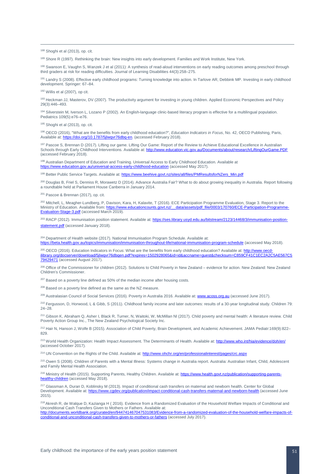<sup>188</sup> Shoghi et al (2013), op. cit.

189 Shore R (1997). Rethinking the brain: New insights into early development. Families and Work Institute, New York.

<sup>190</sup> Swanson E, Vaughn S, Wanzek J et al (2011): A synthesis of read-aloud interventions on early reading outcomes among preschool through third graders at risk for reading difficulties. Journal of Learning Disabilities 44(3):258–275.

191 Landry S (2008). Effective early childhood programs: Turning knowledge into action. In Tarlove AR, Debbink MP. Investing in early childhood development. Springer: 67–84.

<sup>192</sup> Willis et al (2007), op cit.

193 Heckman JJ, Masterov, DV (2007). The productivity argument for investing in young children. Applied Economic Perspectives and Policy 29(3):446–493.

<sup>194</sup> Silverstein M, Iverson L, Lozano P (2002). An English-language clinic-based literacy program is effective for a multilingual population. Pediatrics 109(5):e76–e76.

<sup>195</sup> Shoghi et al (2013), op. cit.

<sup>196</sup> OECD (2016), "What are the benefits from early childhood education?", *Education Indicators in Focus*, No. 42, OECD Publishing, Paris, Available at: https://doi.org/10.1787/5ilwgyr76dbg-en. (accessed February 2018). //doi.org/10.1787/5jlwgvr76dbq-en. (accessed February 2018).

197 Pascoe S, Brennan D (2017). Lifting our game. Lifting Our Game: Report of the Review to Achieve Educational Excellence in Australian Schools through Early Childhood Interventions. Available at:<http://www.education.vic.gov.au/Documents/about/research/LiftingOurGame.PDF> (accessed February 2018).

198 Australian Department of Education and Training. Universal Access to Early Childhood Education. Available at <https://www.education.gov.au/universal-access-early-childhood-education> (accessed May 2017).

199 Better Public Service Targets. Available at[: https://www.beehive.govt.nz/sites/all/files/PMResultsforNZers\\_Min.pdf](https://www.beehive.govt.nz/sites/all/files/PMResultsforNZers_Min.pdf)

<span id="page-51-0"></span><sup>200</sup> Douglas B, Friel S, Denniss R, Morawetz D (2014). Advance Australia Fair? What to do about growing inequality in Australia. Report following a roundtable held at Parliament House Canberra in January 2014.

<span id="page-51-1"></span><sup>201</sup> Pascoe & Brennan (2017), op. cit.

<span id="page-51-3"></span><span id="page-51-2"></span><sup>202</sup> Mitchell, L, Meagher-Lundberg, P, Davison, Kara, H, Kalavite, T (2016). ECE Participation Programme Evaluation, Stage 3. Report to the Ministry of Follocation Available from: https://www.educationcounts.govt.pz/ data Ministry of Education. Available from: https://www.educationcounts.govt.nz/ [Evaluation-Stage-3.pdf](https://www.educationcounts.govt.nz/__data/assets/pdf_file/0003/170760/ECE-Participation-Programme-Evaluation-Stage-3.pdf) (accessed March 2019).

<sup>203</sup> RACP (2012). Immunisation position statement. Available at[: https://ses.library.usyd.edu.au/bitstream/2123/14468/3/immunisation-position](https://ses.library.usyd.edu.au/bitstream/2123/14468/3/immunisation-position-statement.pdf)[statement.pdf](https://ses.library.usyd.edu.au/bitstream/2123/14468/3/immunisation-position-statement.pdf) (accessed January 2018).

<sup>204</sup> Department of Health website (2017). National Immunisation Program Schedule. Available at: <https://beta.health.gov.au/topics/immunisation/immunisation-throughout-life/national-immunisation-program-schedule> (accessed May 2018).

<sup>205</sup> OECD (2016). Education Indicators in Focus: What are the benefits from early childhood education? Available at: http://www.oecd [ilibrary.org/docserver/download/5jlwqvr76dbqen.pdf?expires=1502928065&id=id&accname=guest&checksum=C859CF41C1EC2A2C5AE567C5](http://www.oecd-ilibrary.org/docserver/download/5jlwqvr76dbqen.pdf?expires=1502928065&id=id&accname=guest&checksum=C859CF41C1EC2A2C5AE567C579429471) [79429471](http://www.oecd-ilibrary.org/docserver/download/5jlwqvr76dbqen.pdf?expires=1502928065&id=id&accname=guest&checksum=C859CF41C1EC2A2C5AE567C579429471) (accessed August 2017).

<sup>206</sup> Office of the Commissioner for children (2012). Solutions to Child Poverty in New Zealand – evidence for action. New Zealand: New Zealand Children's Commissioner.

<sup>207</sup> Based on a poverty line defined as 50% of the median income after housing costs.

208 Based on a poverty line defined as the same as the NZ measure.

<sup>209</sup> Australasian Council of Social Services (2016). Poverty in Australia 2016. Available at: **[www.acoss.org.au](http://www.acoss.org.au/)** (accessed June 2017).

<sup>210</sup> Fergusson, D, Horwood, L & Gibb, S (2011). Childhood family income and later outcomes: results of a 30-year longitudinal study. Children 79: 24–28.

<sup>211</sup> Gibson K, Abraham Q, Asher I, Black R, Turner, N, Waitoki, W, McMillan NI (2017). Child poverty and mental health: A literature review. Child Poverty Action Group Inc., The New Zealand Psychological Society Inc.

<sup>212</sup> Hair N, Hanson J, Wolfe B (2015). Association of Child Poverty, Brain Development, and Academic Achievement. [JAMA Pediatr:169\(9\):822–](https://www.ncbi.nlm.nih.gov/entrez/eutils/elink.fcgi?dbfrom=pubmed&retmode=ref&cmd=prlinks&id=26192216) [829.](https://www.ncbi.nlm.nih.gov/entrez/eutils/elink.fcgi?dbfrom=pubmed&retmode=ref&cmd=prlinks&id=26192216)

<sup>213</sup> World Health Organization: Health Impact Assessment. The Determinants of Health. Available at[: http://www.who.int/hia/evidence/doh/en/](http://www.who.int/hia/evidence/doh/en/) (accessed October 2017).

<sup>214</sup> UN Convention on the Rights of the Child. Available at: <http://www.ohchr.org/en/professionalinterest/pages/crc.aspx>

<sup>215</sup> Owen S (2008). Children of Parents with a Mental Illness: Systems change in Australia report. Australia: Australian Infant, Child, Adolescent and Family Mental Health Association.

<sup>216</sup> Ministry of Health (2015). Supporting Parents, Healthy Children. Available at[: https://www.health.govt.nz/publication/supporting-parents](https://www.health.govt.nz/publication/supporting-parents-healthy-children)[healthy-children](https://www.health.govt.nz/publication/supporting-parents-healthy-children) (accessed May 2018).

<sup>217</sup> Glassman A, Duran D, Koblinsky M (2013). Impact of conditional cash transfers on maternal and newborn health. Center for Global Development. Available at[: https://www.cgdev.org/publication/impact-conditional-cash-transfers-maternal-and-newborn-health](https://www.cgdev.org/publication/impact-conditional-cash-transfers-maternal-and-newborn-health) (accessed June 2015).

<sup>218</sup> [Akresh](https://elibrary.worldbank.org/author/Akresh%2C+Richard) R, [de Walque](https://elibrary.worldbank.org/author/de+Walque%2C+Damien) D, [Kazianga](https://elibrary.worldbank.org/author/Kazianga%2C+Harounan) H (2016). Evidence from a Randomized Evaluation of the Household Welfare Impacts of Conditional and Unconditional Cash Transfers Given to Mothers or Fathers. Available at:

[http://documents.worldbank.org/curated/en/944741467047531083/Evidence-from-a-randomized-evaluation-of-the-household-welfare-impacts-of](http://documents.worldbank.org/curated/en/944741467047531083/Evidence-from-a-randomized-evaluation-of-the-household-welfare-impacts-of-conditional-and-unconditional-cash-transfers-given-to-mothers-or-fathers)[conditional-and-unconditional-cash-transfers-given-to-mothers-or-fathers](http://documents.worldbank.org/curated/en/944741467047531083/Evidence-from-a-randomized-evaluation-of-the-household-welfare-impacts-of-conditional-and-unconditional-cash-transfers-given-to-mothers-or-fathers) (accessed July 2017).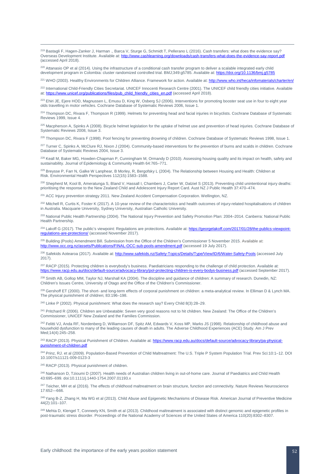<sup>219</sup> Bastagli F, Hagen-Zanker J, Harman ., Barca V, Sturge G, Schmidt T, Pellerano L (2016). Cash transfers: what does the evidence say? Overseas Development Institute. Available at: http://www.cashlearning.org/downloads/cash-transfers-what-do (accessed April 2018).

<sup>220</sup> Attanasio OP et al (2014). Using the infrastructure of a conditional cash transfer program to deliver a scalable integrated early child development program in Colombia: cluster randomized controlled trial. BMJ;349:g5785. Available at[: https://doi.org/10.1136/bmj.g5785](https://doi.org/10.1136/bmj.g5785)

<sup>221</sup> WHO (2003). Healthy Environments for Children Alliance. Framework for action. Available at[: http://www.who.int/heca/infomaterials/charter/en/](http://www.who.int/heca/infomaterials/charter/en/)

<sup>222</sup> International Child-Friendly Cities Secretariat. UNICEF Innocenti Research Centre (2001). The UNICEF child friendly cities initiative. Available at[: https://www.unicef.org/publications/files/pub\\_child\\_friendly\\_cities\\_en.pdf](https://www.unicef.org/publications/files/pub_child_friendly_cities_en.pdf) (accessed April 2018).

<sup>223</sup> Ehiri JE, Ejere HOD, Magnussen L, Emusu D, King W, Osberg SJ (2006). Interventions for promoting booster seat use in four to eight year olds travelling in motor vehicles. Cochrane Database of Systematic Reviews 2006, Issue 1.

<sup>224</sup> Thompson DC, Rivara F, Thompson R (1999). Helmets for preventing head and facial injuries in bicyclists. Cochrane Database of Systematic Reviews 1999, Issue 4.

225 Macpherson A, Spinks A (2008). Bicycle helmet legislation for the uptake of helmet use and prevention of head injuries. Cochrane Database of Systematic Reviews 2008, Issue 3.

<sup>226</sup> Thompson DC, Rivara F (1998). Pool fencing for preventing drowning of children. Cochrane Database of Systematic Reviews 1998, Issue 1.

<sup>227</sup> Turner C, Spinks A, McClure RJ, Nixon J (2004). Community-based interventions for the prevention of burns and scalds in children. Cochrane Database of Systematic Reviews 2004, Issue 3.

<sup>228</sup> Keall M, Baker MG, Howden-Chapman P, Cunningham M, Ormandy D (2010). Assessing housing quality and its impact on health, safety and sustainability. Journal of Epidemiology & Community Health 64:765–771.

<sup>229</sup> Breysse P, Farr N, Galke W Lanphear, B Morley, R, Bergofsky L (2004). The Relationship between Housing and Health: Children at Risk. Environmental Health Perspectives 112(15):1583–1588.

<sup>230</sup> Shepherd M, Kool B, Ameratunga S, Bland V, Hassall I, Chambers J, Carter W, Dalziel S (2013). Preventing child unintentional injury deaths: prioritising the response to the New Zealand Child and Adolescent Injury Report Card. Aust NZ J Public Health 37:470–474.

<sup>231</sup> ACC Injury prevention strategy 2011. New Zealand Accident Compensation Corporation. Wellington, NZ.

<sup>232</sup> Mitchell R, Curtis K, Foster K (2017). A 10-year review of the characteristics and health outcomes of injury-related hospitalisations of children in Australia. Macquarie University, Sydney University, Australian Catholic University.

<sup>233</sup> National Public Health Partnership (2004). The National Injury Prevention and Safety Promotion Plan: 2004–2014. Canberra: National Public Health Partnership.

<span id="page-52-0"></span><sup>234</sup> Lakoff G (2017). The public's viewpoint: Regulations are protections. Available at[: https://georgelakoff.com/2017/01/28/the-publics-viewpoint](https://georgelakoff.com/2017/01/28/the-publics-viewpoint-regulations-are-protections/)s/ (accessed November 2017).

<span id="page-52-2"></span><span id="page-52-1"></span><sup>235</sup> Building (Pools) Amendment Bill. Submission from the Office of the Children's Commissioner 5 November 2015. Available at:<br>http://www.occ.org.nz/assets/Publications/FINAL-OCC-sub-pools-amendment.pdf (accessed 19 July http://www.occ.org/FINAL-OCC-sub-pools-amendment.pdf (accessed 19 July 2017).

<span id="page-52-3"></span><sup>236</sup> Safekids Aotearoa (2017). Available at:<http://www.safekids.nz/Safety-Topics/Details/Type/View/ID/6/Water-Safety-Pools> (accessed July 2017).

<span id="page-52-4"></span><sup>237</sup> RACP (2015). Protecting children is everybody's business. Paediatricians responding to the challenge of child protection. Available at: <https://www.racp.edu.au/docs/default-source/advocacy-library/pol-protecting-children-is-every-bodys-business.pdf> (accessed September 2017).

<span id="page-52-6"></span><span id="page-52-5"></span><sup>238</sup> Smith AB, Gollop MM, Taylor NJ, Marshall KA (2004). The discipline and guidance of children: A summary of research. Dunedin, NZ: Children's Issues Centre, University of Otago and the Office of the Children's Commissioner.

<sup>239</sup> Gershoff ET (2000). The short- and long-term effects of corporal punishment on children: a meta-analytical review. In Elliman D & Lynch MA. The physical punishment of children; 83:196–198.

<sup>240</sup> Linke P (2002). Physical punishment: What does the research say? Every Child 8(3):28-29.

<sup>241</sup> Pritchard R (2006). Children are Unbeatable: Seven very good reasons not to hit children. New Zealand: The Office of the Children's Commissioner, UNICEF New Zealand and the Families Commission.

<sup>242</sup> [Felitti VJ,](https://www.ncbi.nlm.nih.gov/pubmed/?term=Felitti%20VJ%5BAuthor%5D&cauthor=true&cauthor_uid=9635069) [Anda RF,](https://www.ncbi.nlm.nih.gov/pubmed/?term=Anda%20RF%5BAuthor%5D&cauthor=true&cauthor_uid=9635069) [Nordenberg D,](https://www.ncbi.nlm.nih.gov/pubmed/?term=Nordenberg%20D%5BAuthor%5D&cauthor=true&cauthor_uid=9635069) [Williamson DF,](https://www.ncbi.nlm.nih.gov/pubmed/?term=Williamson%20DF%5BAuthor%5D&cauthor=true&cauthor_uid=9635069) [Spitz AM,](https://www.ncbi.nlm.nih.gov/pubmed/?term=Spitz%20AM%5BAuthor%5D&cauthor=true&cauthor_uid=9635069) [Edwards V,](https://www.ncbi.nlm.nih.gov/pubmed/?term=Edwards%20V%5BAuthor%5D&cauthor=true&cauthor_uid=9635069) [Koss MP,](https://www.ncbi.nlm.nih.gov/pubmed/?term=Koss%20MP%5BAuthor%5D&cauthor=true&cauthor_uid=9635069) [Marks JS](https://www.ncbi.nlm.nih.gov/pubmed/?term=Marks%20JS%5BAuthor%5D&cauthor=true&cauthor_uid=9635069) (1998). Relationship of childhood abuse and household dysfunction to many of the leading causes of death in adults. The Adverse Childhood Experiences (ACE) Study. Am J Prev Med;14(4):245–258.

<sup>243</sup> RACP (2013). Physical Punishment of Children. Available at: [https://www.racp.edu.au/docs/default-source/advocacy-library/pa-physical](https://www.racp.edu.au/docs/default-source/advocacy-library/pa-physical-punishment-of-children.pdf)[punishment-of-children.pdf](https://www.racp.edu.au/docs/default-source/advocacy-library/pa-physical-punishment-of-children.pdf)

<sup>244</sup> Prinz, RJ. et al (2009). Population-Based Prevention of Child Maltreatment: The U.S. Triple P System Population Trial. Prev Sci:10:1–12. DOI 10.1007/s11121-009-0123-3

<sup>245</sup> RACP (2013). Physical punishment of children.

<sup>246</sup> Nathanson D, Tzioumi D (2007). Health needs of Australian children living in out-of-home care. Journal of Paediatrics and Child Health 43:695–699. doi:10.1111/j.1440-1754.2007.01193.x

<sup>247</sup> Teicher, MH et al (2016). The effects of childhood maltreatment on brain structure, function and connectivity. Nature Reviews Neuroscience 17:652—666.

<sup>248</sup> Yang B-Z, Zhang H, Ma WG et al (2013). Child Abuse and Epigenetic Mechanisms of Disease Risk. American Journal of Preventive Medicine 44(2):101–107.

<sup>249</sup> Mehta D, Klengel T, Conneely KN, Smith et al (2013). Childhood maltreatment is associated with distinct genomic and epigenetic profiles in post-traumatic stress disorder. Proceedings of the National Academy of Sciences of the United States of America 110(20):8302–8307.